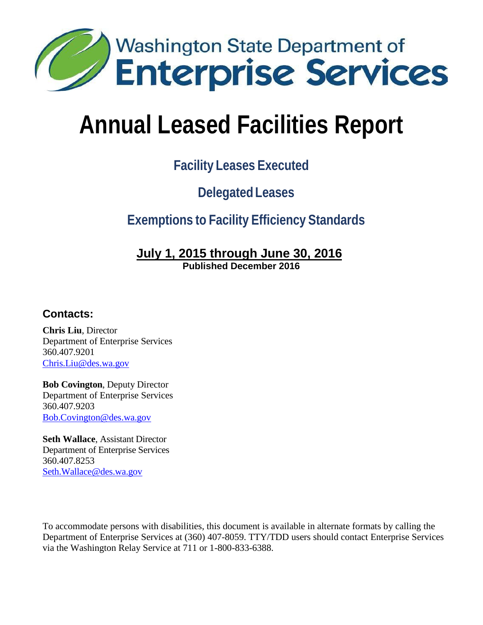

# **Facility Leases Executed**

# **Delegated Leases**

# **Exemptions to Facility Efficiency Standards**

#### **July 1, 2015 through June 30, 2016 Published December 2016**

#### **Contacts:**

**Chris Liu**, Director Department of Enterprise Services 360.407.9201 [Chris.Liu@des.wa.gov](mailto:Chris.Liu@des.wa.gov)

**Bob Covington**, Deputy Director Department of Enterprise Services 360.407.9203 [Bob.Covington@des.wa.gov](mailto:Bob.Covington@des.wa.gov)

**Seth Wallace**, Assistant Director Department of Enterprise Services 360.407.8253 [Seth.Wallace@des.wa.gov](mailto:Seth.Wallace@des.wa.gov)

To accommodate persons with disabilities, this document is available in alternate formats by calling the Department of Enterprise Services at (360) 407-8059. TTY/TDD users should contact Enterprise Services via the Washington Relay Service at 711 or 1-800-833-6388.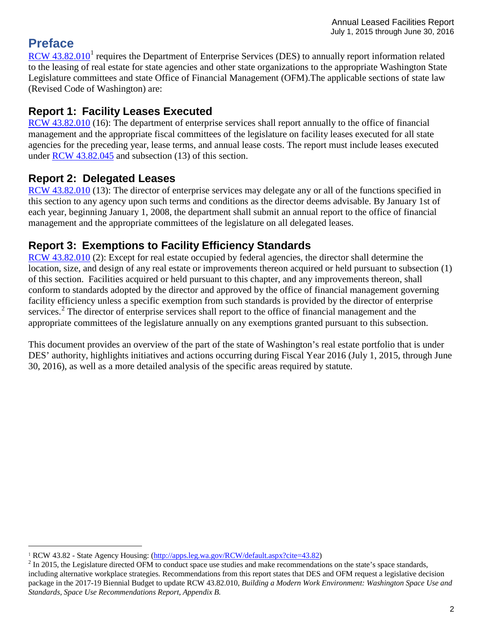# **Preface**

RCW  $43.82.010<sup>1</sup>$  $43.82.010<sup>1</sup>$  $43.82.010<sup>1</sup>$  requires the Department of Enterprise Services (DES) to annually report information related to the leasing of real estate for state agencies and other state organizations to the appropriate Washington State Legislature committees and state Office of Financial Management (OFM).The applicable sections of state law (Revised Code of Washington) are:

## **Report 1: Facility Leases Executed**

[RCW 43.82.010](http://apps.leg.wa.gov/RCW/default.aspx?Cite=43.82.010) (16): The department of enterprise services shall report annually to the office of financial management and the appropriate fiscal committees of the legislature on facility leases executed for all state agencies for the preceding year, lease terms, and annual lease costs. The report must include leases executed under [RCW 43.82.045](http://app.leg.wa.gov/RCW/default.aspx?cite=43.82.045) and subsection (13) of this section.

## **Report 2: Delegated Leases**

[RCW 43.82.010](http://apps.leg.wa.gov/RCW/default.aspx?Cite=43.82.010) (13): The director of enterprise services may delegate any or all of the functions specified in this section to any agency upon such terms and conditions as the director deems advisable. By January 1st of each year, beginning January 1, 2008, the department shall submit an annual report to the office of financial management and the appropriate committees of the legislature on all delegated leases.

## **Report 3: Exemptions to Facility Efficiency Standards**

[RCW 43.82.010](http://apps.leg.wa.gov/RCW/default.aspx?Cite=43.82.010) (2): Except for real estate occupied by federal agencies, the director shall determine the location, size, and design of any real estate or improvements thereon acquired or held pursuant to subsection (1) of this section. Facilities acquired or held pursuant to this chapter, and any improvements thereon, shall conform to standards adopted by the director and approved by the office of financial management governing facility efficiency unless a specific exemption from such standards is provided by the director of enterprise services.<sup>[2](#page-1-1)</sup> The director of enterprise services shall report to the office of financial management and the appropriate committees of the legislature annually on any exemptions granted pursuant to this subsection.

This document provides an overview of the part of the state of Washington's real estate portfolio that is under DES' authority, highlights initiatives and actions occurring during Fiscal Year 2016 (July 1, 2015, through June 30, 2016), as well as a more detailed analysis of the specific areas required by statute.

<span id="page-1-1"></span><span id="page-1-0"></span><sup>&</sup>lt;sup>1</sup> RCW 43.82 - State Agency Housing: [\(http://apps.leg.wa.gov/RCW/default.aspx?cite=43.82\)](http://apps.leg.wa.gov/RCW/default.aspx?cite=43.82)<br><sup>2</sup> In 2015, the Legislature directed OFM to conduct space use studies and make recommendations on the state's space standards, including alternative workplace strategies. Recommendations from this report states that DES and OFM request a legislative decision package in the 2017-19 Biennial Budget to update RCW 43.82.010, *Building a Modern Work Environment: Washington Space Use and Standards, Space Use Recommendations Report, Appendix B.*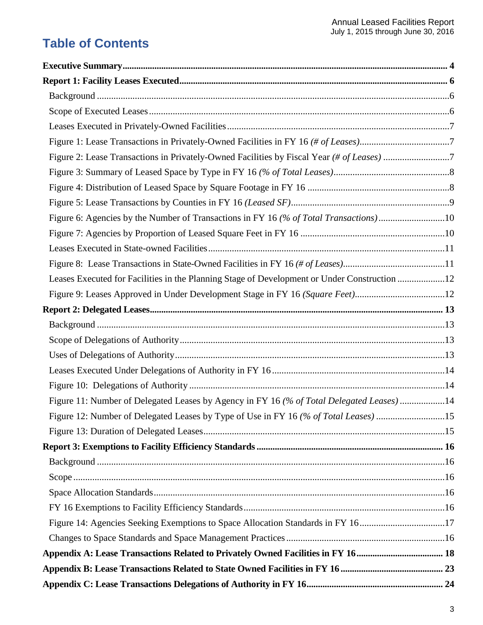# **Table of Contents**

| Figure 2: Lease Transactions in Privately-Owned Facilities by Fiscal Year (# of Leases) 7    |  |
|----------------------------------------------------------------------------------------------|--|
|                                                                                              |  |
|                                                                                              |  |
|                                                                                              |  |
| Figure 6: Agencies by the Number of Transactions in FY 16 (% of Total Transactions)10        |  |
|                                                                                              |  |
|                                                                                              |  |
|                                                                                              |  |
| Leases Executed for Facilities in the Planning Stage of Development or Under Construction 12 |  |
| Figure 9: Leases Approved in Under Development Stage in FY 16 (Square Feet)12                |  |
|                                                                                              |  |
|                                                                                              |  |
|                                                                                              |  |
|                                                                                              |  |
|                                                                                              |  |
|                                                                                              |  |
| Figure 11: Number of Delegated Leases by Agency in FY 16 (% of Total Delegated Leases) 14    |  |
| Figure 12: Number of Delegated Leases by Type of Use in FY 16 (% of Total Leases) 15         |  |
|                                                                                              |  |
|                                                                                              |  |
|                                                                                              |  |
|                                                                                              |  |
|                                                                                              |  |
|                                                                                              |  |
| Figure 14: Agencies Seeking Exemptions to Space Allocation Standards in FY 1617              |  |
|                                                                                              |  |
|                                                                                              |  |
|                                                                                              |  |
|                                                                                              |  |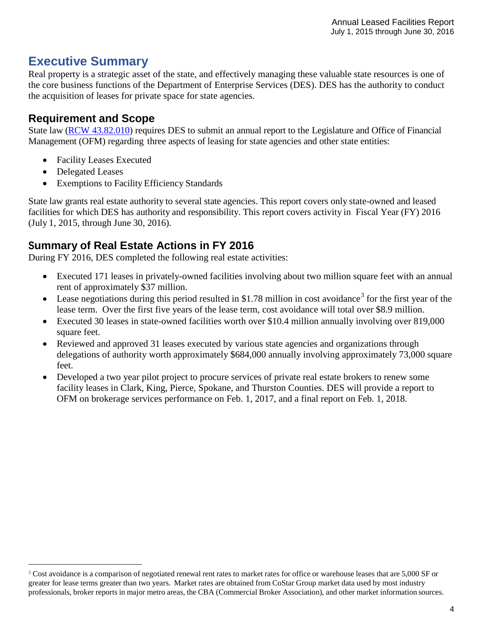# <span id="page-3-0"></span>**Executive Summary**

Real property is a strategic asset of the state, and effectively managing these valuable state resources is one of the core business functions of the Department of Enterprise Services (DES). DES has the authority to conduct the acquisition of leases for private space for state agencies.

#### **Requirement and Scope**

State law (RCW [43.82.010\)](http://apps.leg.wa.gov/RCW/default.aspx?Cite=43.82.010) requires DES to submit an annual report to the Legislature and Office of Financial Management (OFM) regarding three aspects of leasing for state agencies and other state entities:

- Facility Leases Executed
- Delegated Leases
- Exemptions to Facility Efficiency Standards

State law grants real estate authority to several state agencies. This report covers only state-owned and leased facilities for which DES has authority and responsibility. This report covers activity in Fiscal Year (FY) 2016 (July 1, 2015, through June 30, 2016).

## **Summary of Real Estate Actions in FY 2016**

During FY 2016, DES completed the following real estate activities:

- Executed 171 leases in privately-owned facilities involving about two million square feet with an annual rent of approximately \$37 million.
- Lease negotiations during this period resulted in \$1.78 million in cost avoidance<sup>[3](#page-3-1)</sup> for the first year of the lease term. Over the first five years of the lease term, cost avoidance will total over \$8.9 million.
- Executed 30 leases in state-owned facilities worth over \$10.4 million annually involving over 819,000 square feet.
- Reviewed and approved 31 leases executed by various state agencies and organizations through delegations of authority worth approximately \$684,000 annually involving approximately 73,000 square feet.
- Developed a two year pilot project to procure services of private real estate brokers to renew some facility leases in Clark, King, Pierce, Spokane, and Thurston Counties. DES will provide a report to OFM on brokerage services performance on Feb. 1, 2017, and a final report on Feb. 1, 2018.

<span id="page-3-1"></span><sup>&</sup>lt;sup>3</sup> Cost avoidance is a comparison of negotiated renewal rent rates to market rates for office or warehouse leases that are 5,000 SF or greater for lease terms greater than two years. Market rates are obtained from CoStar Group market data used by most industry professionals, broker reports in major metro areas, the CBA (Commercial Broker Association), and other market information sources.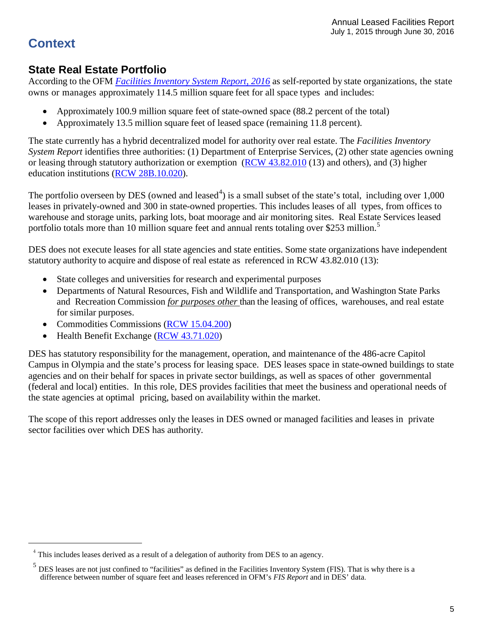# **Context**

#### **State Real Estate Portfolio**

According to the OFM *[Facilities Inventory System Report, 2016](http://www.ofm.wa.gov/budget/facilities/documents/FacilitiesInventorySystemReport2016.pdf)* as self-reported by state organizations, the state owns or manages approximately 114.5 million square feet for all space types and includes:

- Approximately 100.9 million square feet of state-owned space (88.2 percent of the total)
- Approximately 13.5 million square feet of leased space (remaining 11.8 percent).

The state currently has a hybrid decentralized model for authority over real estate. The *Facilities Inventory System Report* identifies three authorities: (1) Department of Enterprise Services, (2) other state agencies owning or leasing through statutory authorization or exemption (RCW [43.82.010](http://apps.leg.wa.gov/RCW/default.aspx?Cite=43.82.010) (13) and others), and (3) higher education institutions (RCW [28B.10.020\)](http://apps.leg.wa.gov/rcw/default.aspx?cite=28B.10.020).

The portfolio overseen by DES (owned and leased<sup>[4](#page-4-0)</sup>) is a small subset of the state's total, including over  $1,000$ leases in privately-owned and 300 in state-owned properties. This includes leases of all types, from offices to warehouse and storage units, parking lots, boat moorage and air monitoring sites. Real Estate Services leased portfolio totals more than 10 million square feet and annual rents totaling over \$2[5](#page-4-1)3 million.<sup>5</sup>

DES does not execute leases for all state agencies and state entities. Some state organizations have independent statutory authority to acquire and dispose of real estate as referenced in RCW 43.82.010 (13):

- State colleges and universities for research and experimental purposes
- Departments of Natural Resources, Fish and Wildlife and Transportation, and Washington State Parks and Recreation Commission *for purposes other* than the leasing of offices, warehouses, and real estate for similar purposes.
- Commodities Commissions [\(RCW 15.04.200\)](http://apps.leg.wa.gov/rcw/default.aspx?cite=15.04.200)
- Health Benefit Exchange (RCW [43.71.020\)](http://app.leg.wa.gov/rcw/default.aspx?cite=43.71.020)

DES has statutory responsibility for the management, operation, and maintenance of the 486-acre Capitol Campus in Olympia and the state's process for leasing space. DES leases space in state-owned buildings to state agencies and on their behalf for spaces in private sector buildings, as well as spaces of other governmental (federal and local) entities. In this role, DES provides facilities that meet the business and operational needs of the state agencies at optimal pricing, based on availability within the market.

The scope of this report addresses only the leases in DES owned or managed facilities and leases in private sector facilities over which DES has authority.

<span id="page-4-0"></span> $4$  This includes leases derived as a result of a delegation of authority from DES to an agency.

<span id="page-4-1"></span> $<sup>5</sup>$  DES leases are not just confined to "facilities" as defined in the Facilities Inventory System (FIS). That is why there is a</sup> difference between number of square feet and leases referenced in OFM's *FIS Report* and in DES' data.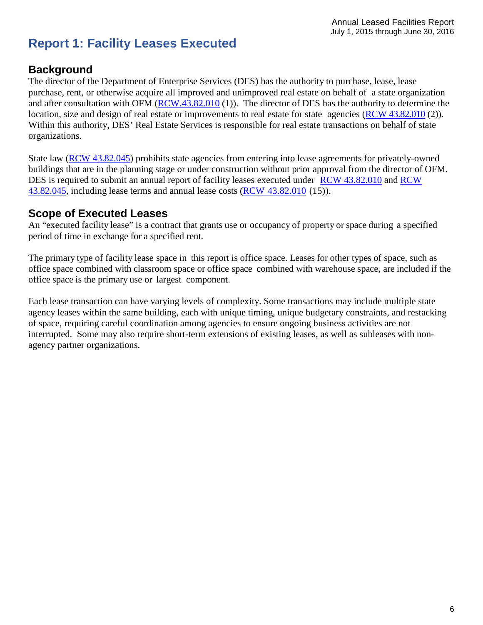# <span id="page-5-0"></span>**Report 1: Facility Leases Executed**

#### <span id="page-5-1"></span>**Background**

The director of the Department of Enterprise Services (DES) has the authority to purchase, lease, lease purchase, rent, or otherwise acquire all improved and unimproved real estate on behalf of a state organization and after consultation with OFM [\(RCW.43.82.010](http://apps.leg.wa.gov/RCW/default.aspx?Cite=43.82.010) (1)). The director of DES has the authority to determine the location, size and design of real estate or improvements to real estate for state agencies (RCW [43.82.010](http://apps.leg.wa.gov/RCW/default.aspx?Cite=43.82.010) (2)). Within this authority, DES' Real Estate Services is responsible for real estate transactions on behalf of state organizations.

State law [\(RCW 43.82.045\)](http://apps.leg.wa.gov/rcw/default.aspx?cite=43.82.045) prohibits state agencies from entering into lease agreements for privately-owned buildings that are in the planning stage or under construction without prior approval from the director of OFM. DES is required to submit an annual report of facility leases executed under RCW [43.82.010](http://apps.leg.wa.gov/RCW/default.aspx?Cite=43.82.010) and [RCW](http://apps.leg.wa.gov/rcw/default.aspx?cite=43.82.045) [43.82.045,](http://apps.leg.wa.gov/rcw/default.aspx?cite=43.82.045) including lease terms and annual lease costs (RCW [43.82.010](http://apps.leg.wa.gov/RCW/default.aspx?Cite=43.82.010) (15)).

#### <span id="page-5-2"></span>**Scope of Executed Leases**

An "executed facility lease" is a contract that grants use or occupancy of property or space during a specified period of time in exchange for a specified rent.

The primary type of facility lease space in this report is office space. Leases for other types of space, such as office space combined with classroom space or office space combined with warehouse space, are included if the office space is the primary use or largest component.

Each lease transaction can have varying levels of complexity. Some transactions may include multiple state agency leases within the same building, each with unique timing, unique budgetary constraints, and restacking of space, requiring careful coordination among agencies to ensure ongoing business activities are not interrupted. Some may also require short-term extensions of existing leases, as well as subleases with nonagency partner organizations.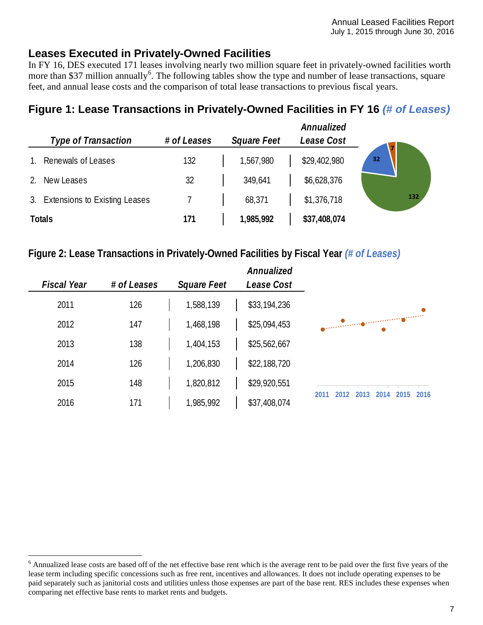#### <span id="page-6-0"></span>**Leases Executed in Privately-Owned Facilities**

In FY 16, DES executed 171 leases involving nearly two million square feet in privately-owned facilities worth more than \$37 million annually<sup>[6](#page-6-3)</sup>. The following tables show the type and number of lease transactions, square feet, and annual lease costs and the comparison of total lease transactions to previous fiscal years.

# <span id="page-6-1"></span>**Figure 1: Lease Transactions in Privately-Owned Facilities in FY 16** *(# of Leases)*

|             |                                  |             |                    | Annualized   |     |
|-------------|----------------------------------|-------------|--------------------|--------------|-----|
|             | <b>Type of Transaction</b>       | # of Leases | <b>Square Feet</b> | Lease Cost   |     |
|             | Renewals of Leases               | 132         | 1,567,980          | \$29,402,980 | 32  |
| $2^{\circ}$ | New Leases                       | 32          | 349,641            | \$6,628,376  |     |
|             | 3. Extensions to Existing Leases |             | 68,371             | \$1,376,718  | 132 |
|             | <b>Totals</b>                    | 171         | 1,985,992          | \$37,408,074 |     |

#### <span id="page-6-2"></span>**Figure 2: Lease Transactions in Privately-Owned Facilities by Fiscal Year** *(# of Leases)*

|                                              | Annualized<br>Lease Cost | <b>Square Feet</b> | # of Leases | <b>Fiscal Year</b> |
|----------------------------------------------|--------------------------|--------------------|-------------|--------------------|
|                                              | \$33,194,236             | 1,588,139          | 126         | 2011               |
|                                              | \$25,094,453             | 1,468,198          | 147         | 2012               |
|                                              | \$25,562,667             | 1,404,153          | 138         | 2013               |
|                                              | \$22,188,720             | 1,206,830          | 126         | 2014               |
|                                              | \$29,920,551             | 1,820,812          | 148         | 2015               |
| 2015<br>2014<br>2016<br>2011<br>2013<br>2012 | \$37,408,074             | 1,985,992          | 171         | 2016               |

<span id="page-6-3"></span> $6$  Annualized lease costs are based off of the net effective base rent which is the average rent to be paid over the first five years of the lease term including specific concessions such as free rent, incentives and allowances. It does not include operating expenses to be paid separately such as janitorial costs and utilities unless those expenses are part of the base rent. RES includes these expenses when comparing net effective base rents to market rents and budgets.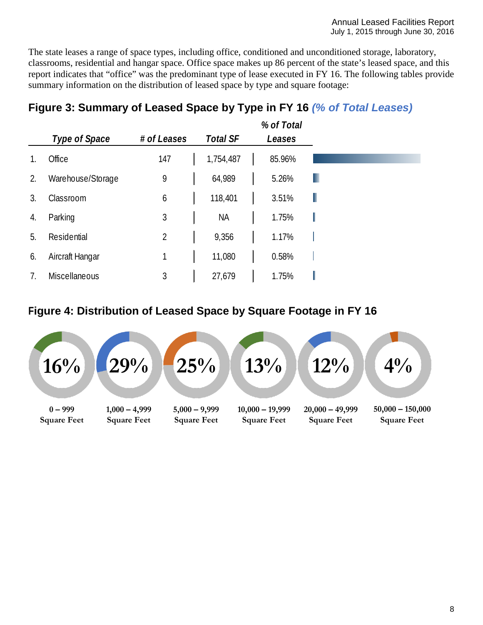The state leases a range of space types, including office, conditioned and unconditioned storage, laboratory, classrooms, residential and hangar space. Office space makes up 86 percent of the state's leased space, and this report indicates that "office" was the predominant type of lease executed in FY 16. The following tables provide summary information on the distribution of leased space by type and square footage:

# <span id="page-7-0"></span>**Figure 3: Summary of Leased Space by Type in FY 16** *(% of Total Leases)*

|    |                   |                |                 | % of Total |   |
|----|-------------------|----------------|-----------------|------------|---|
|    | Type of Space     | # of Leases    | <b>Total SF</b> | Leases     |   |
|    | Office            | 147            | 1,754,487       | 85.96%     |   |
| 2. | Warehouse/Storage | 9              | 64,989          | 5.26%      |   |
| 3. | Classroom         | 6              | 118,401         | 3.51%      |   |
| 4. | Parking           | 3              | <b>NA</b>       | 1.75%      | ı |
| 5. | Residential       | $\overline{2}$ | 9,356           | 1.17%      |   |
| 6. | Aircraft Hangar   | 1              | 11,080          | 0.58%      |   |
| 7. | Miscellaneous     | 3              | 27,679          | 1.75%      |   |

# <span id="page-7-1"></span>**Figure 4: Distribution of Leased Space by Square Footage in FY 16**

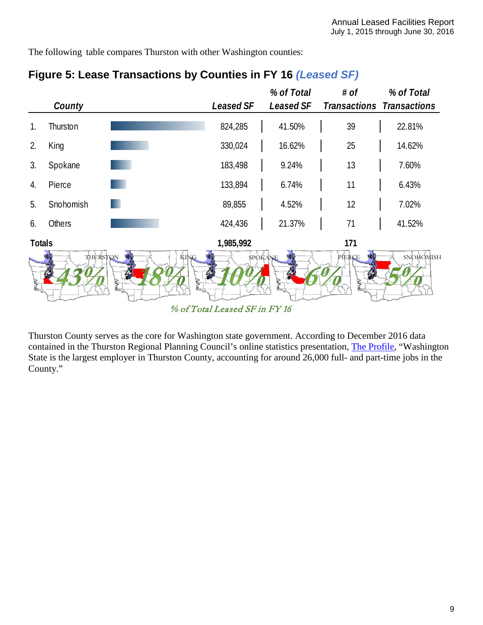The following table compares Thurston with other Washington counties:

|               |           |                                           |                               | % of Total       | # of                | % of Total                       |
|---------------|-----------|-------------------------------------------|-------------------------------|------------------|---------------------|----------------------------------|
|               | County    |                                           | <b>Leased SF</b>              | <b>Leased SF</b> |                     | <b>Transactions Transactions</b> |
| 1.            | Thurston  |                                           | 824,285                       | 41.50%           | 39                  | 22.81%                           |
| 2.            | King      |                                           | 330,024                       | 16.62%           | 25                  | 14.62%                           |
| 3.            | Spokane   |                                           | 183,498                       | 9.24%            | 13                  | 7.60%                            |
| 4.            | Pierce    |                                           | 133,894                       | 6.74%            | 11                  | 6.43%                            |
| 5.            | Snohomish |                                           | 89,855                        | 4.52%            | 12                  | 7.02%                            |
| 6.            | Others    |                                           | 424,436                       | 21.37%           | 71                  | 41.52%                           |
| <b>Totals</b> |           |                                           | 1,985,992                     |                  | 171                 |                                  |
|               | THURSTON  | <b>KING</b><br>$\mathbb{Z}$<br>$\sqrt{2}$ | <b>SPORANE</b>                |                  | PIERCE<br><b>kt</b> | SNOHOMISH                        |
|               |           |                                           | % of Total Leased SF in FY 16 |                  |                     |                                  |

## <span id="page-8-0"></span>**Figure 5: Lease Transactions by Counties in FY 16** *(Leased SF)*

Thurston County serves as the core for Washington state government. According to December 2016 data contained in the Thurston Regional Planning Council's online statistics presentation, [The Profile,](http://www.trpc.org/391/The-Profile-Thurston-County-Statistics-D) "Washington State is the largest employer in Thurston County, accounting for around 26,000 full- and part-time jobs in the County."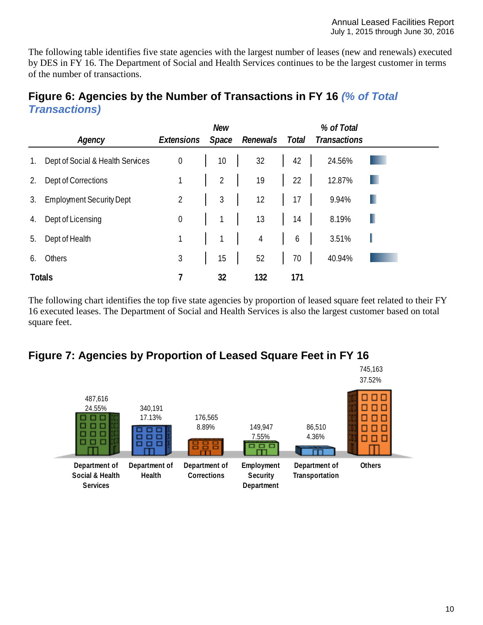The following table identifies five state agencies with the largest number of leases (new and renewals) executed by DES in FY 16. The Department of Social and Health Services continues to be the largest customer in terms of the number of transactions.

#### <span id="page-9-0"></span>**Figure 6: Agencies by the Number of Transactions in FY 16** *(% of Total Transactions)*

|             |                                  |                  | <b>New</b>     |                |                  | % of Total          |   |
|-------------|----------------------------------|------------------|----------------|----------------|------------------|---------------------|---|
|             | Agency                           | Extensions       | Space          | Renewals       | Total            | <b>Transactions</b> |   |
| $1_{\cdot}$ | Dept of Social & Health Services | $\boldsymbol{0}$ | 10             | 32             | 42               | 24.56%              |   |
| 2.          | Dept of Corrections              |                  | $\overline{2}$ | 19             | 22               | 12.87%              |   |
| 3.          | <b>Employment Security Dept</b>  | $\overline{2}$   | $\mathfrak{Z}$ | 12             | 17               | 9.94%               | ٠ |
| 4.          | Dept of Licensing                | $\boldsymbol{0}$ | $\mathbf{1}$   | 13             | 14               | 8.19%               |   |
| 5.          | Dept of Health                   | $\mathbf{1}$     | 1              | $\overline{4}$ | $\boldsymbol{6}$ | 3.51%               |   |
| 6.          | Others                           | 3                | 15             | 52             | 70               | 40.94%              |   |
|             | <b>Totals</b>                    |                  | 32             | 132            | 171              |                     |   |

The following chart identifies the top five state agencies by proportion of leased square feet related to their FY 16 executed leases. The Department of Social and Health Services is also the largest customer based on total square feet.

#### <span id="page-9-1"></span>**Figure 7: Agencies by Proportion of Leased Square Feet in FY 16**

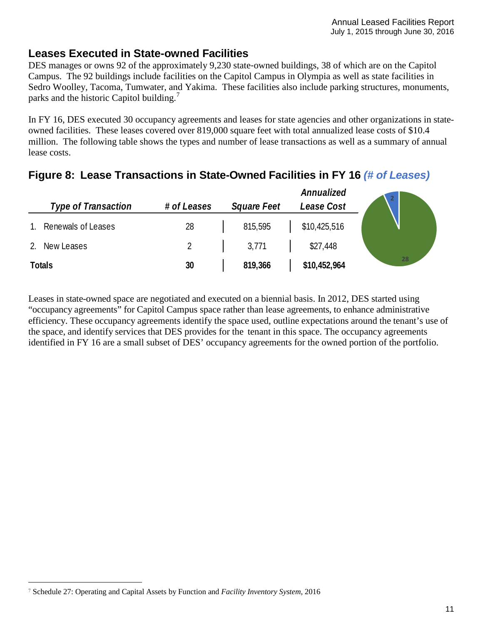#### <span id="page-10-0"></span>**Leases Executed in State-owned Facilities**

DES manages or owns 92 of the approximately 9,230 state-owned buildings, 38 of which are on the Capitol Campus. The 92 buildings include facilities on the Capitol Campus in Olympia as well as state facilities in Sedro Woolley, Tacoma, Tumwater, and Yakima. These facilities also include parking structures, monuments, parks and the historic Capitol building.<sup>[7](#page-10-2)</sup>

In FY 16, DES executed 30 occupancy agreements and leases for state agencies and other organizations in stateowned facilities. These leases covered over 819,000 square feet with total annualized lease costs of \$10.4 million. The following table shows the types and number of lease transactions as well as a summary of annual lease costs.

|    | <b>Type of Transaction</b> | # of Leases | <b>Square Feet</b> | Annualized<br>Lease Cost | $\overline{2}$ |
|----|----------------------------|-------------|--------------------|--------------------------|----------------|
| 1. | Renewals of Leases         | 28          | 815,595            | \$10,425,516             |                |
| 2. | New Leases                 |             | 3,771              | \$27,448                 |                |
|    | Totals                     | 30          | 819,366            | \$10,452,964             | 28             |

## <span id="page-10-1"></span>**Figure 8: Lease Transactions in State-Owned Facilities in FY 16** *(# of Leases)*

Leases in state-owned space are negotiated and executed on a biennial basis. In 2012, DES started using "occupancy agreements" for Capitol Campus space rather than lease agreements, to enhance administrative efficiency. These occupancy agreements identify the space used, outline expectations around the tenant's use of the space, and identify services that DES provides for the tenant in this space. The occupancy agreements identified in FY 16 are a small subset of DES' occupancy agreements for the owned portion of the portfolio.

<span id="page-10-2"></span> <sup>7</sup> Schedule 27: Operating and Capital Assets by Function and *Facility Inventory System*, <sup>2016</sup>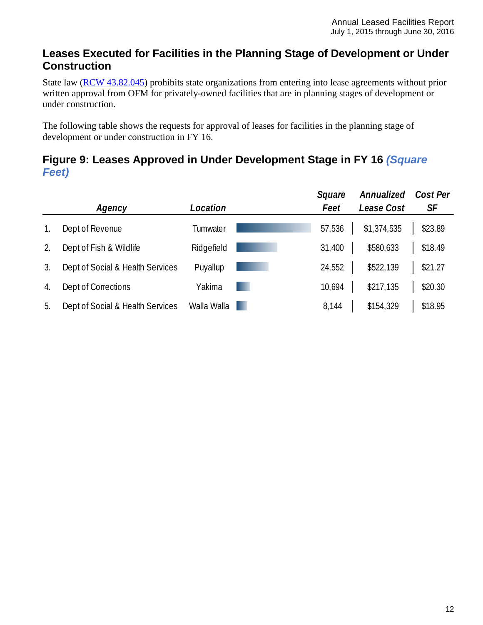#### <span id="page-11-0"></span>**Leases Executed for Facilities in the Planning Stage of Development or Under Construction**

State law [\(RCW 43.82.045\)](http://apps.leg.wa.gov/rcw/default.aspx?cite=43.82.045) prohibits state organizations from entering into lease agreements without prior written approval from OFM for privately-owned facilities that are in planning stages of development or under construction.

The following table shows the requests for approval of leases for facilities in the planning stage of development or under construction in FY 16.

<span id="page-11-1"></span>

| Figure 9: Leases Approved in Under Development Stage in FY 16 (Square |  |
|-----------------------------------------------------------------------|--|
| <b>Feet</b> )                                                         |  |

|    |                                  |             | Square | Annualized  | Cost Per |
|----|----------------------------------|-------------|--------|-------------|----------|
|    | Agency                           | Location    | Feet   | Lease Cost  | SF       |
| 1. | Dept of Revenue                  | Tumwater    | 57,536 | \$1,374,535 | \$23.89  |
| 2. | Dept of Fish & Wildlife          | Ridgefield  | 31,400 | \$580,633   | \$18.49  |
| 3. | Dept of Social & Health Services | Puyallup    | 24,552 | \$522,139   | \$21.27  |
| 4. | Dept of Corrections              | Yakima      | 10,694 | \$217,135   | \$20.30  |
| 5. | Dept of Social & Health Services | Walla Walla | 8,144  | \$154,329   | \$18.95  |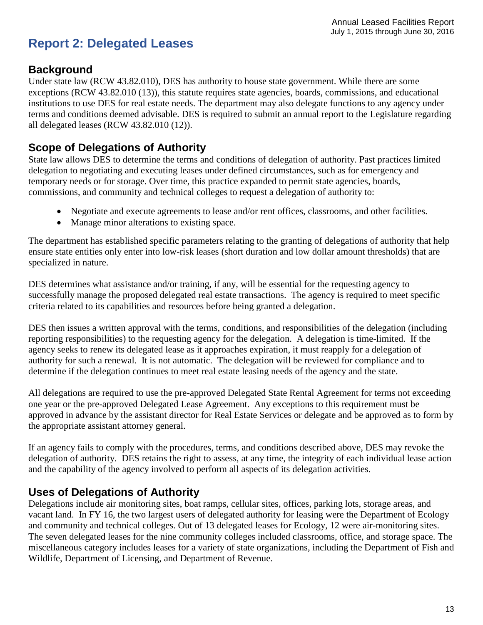# <span id="page-12-0"></span>**Report 2: Delegated Leases**

#### <span id="page-12-1"></span>**Background**

Under state law [\(RCW 43.82.010\)](http://apps.leg.wa.gov/rcw/default.aspx?cite=43.82.010), DES has authority to house state government. While there are some exceptions [\(RCW 43.82.010](http://apps.leg.wa.gov/rcw/default.aspx?cite=43.82.010) (13)), this statute requires state agencies, boards, commissions, and educational institutions to use DES for real estate needs. The department may also delegate functions to any agency under terms and conditions deemed advisable. DES is required to submit an annual report to the Legislature regarding all delegated leases [\(RCW 43.82.010](http://apps.leg.wa.gov/rcw/default.aspx?cite=43.82.010) (12)).

#### <span id="page-12-2"></span>**Scope of Delegations of Authority**

State law allows DES to determine the terms and conditions of delegation of authority. Past practices limited delegation to negotiating and executing leases under defined circumstances, such as for emergency and temporary needs or for storage. Over time, this practice expanded to permit state agencies, boards, commissions, and community and technical colleges to request a delegation of authority to:

- Negotiate and execute agreements to lease and/or rent offices, classrooms, and other facilities.
- Manage minor alterations to existing space.

The department has established specific parameters relating to the granting of delegations of authority that help ensure state entities only enter into low-risk leases (short duration and low dollar amount thresholds) that are specialized in nature.

DES determines what assistance and/or training, if any, will be essential for the requesting agency to successfully manage the proposed delegated real estate transactions. The agency is required to meet specific criteria related to its capabilities and resources before being granted a delegation.

DES then issues a written approval with the terms, conditions, and responsibilities of the delegation (including reporting responsibilities) to the requesting agency for the delegation. A delegation is time-limited. If the agency seeks to renew its delegated lease as it approaches expiration, it must reapply for a delegation of authority for such a renewal. It is not automatic. The delegation will be reviewed for compliance and to determine if the delegation continues to meet real estate leasing needs of the agency and the state.

All delegations are required to use the pre-approved Delegated State Rental Agreement for terms not exceeding one year or the pre-approved Delegated Lease Agreement. Any exceptions to this requirement must be approved in advance by the assistant director for Real Estate Services or delegate and be approved as to form by the appropriate assistant attorney general.

If an agency fails to comply with the procedures, terms, and conditions described above, DES may revoke the delegation of authority. DES retains the right to assess, at any time, the integrity of each individual lease action and the capability of the agency involved to perform all aspects of its delegation activities.

#### <span id="page-12-3"></span>**Uses of Delegations of Authority**

<span id="page-12-4"></span>Delegations include air monitoring sites, boat ramps, cellular sites, offices, parking lots, storage areas, and vacant land. In FY 16, the two largest users of delegated authority for leasing were the Department of Ecology and community and technical colleges. Out of 13 delegated leases for Ecology, 12 were air-monitoring sites. The seven delegated leases for the nine community colleges included classrooms, office, and storage space. The miscellaneous category includes leases for a variety of state organizations, including the Department of Fish and Wildlife, Department of Licensing, and Department of Revenue.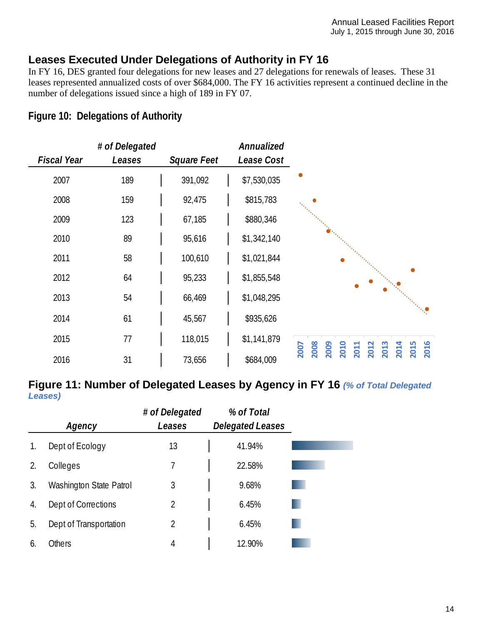#### **Leases Executed Under Delegations of Authority in FY 16**

In FY 16, DES granted four delegations for new leases and 27 delegations for renewals of leases. These 31 leases represented annualized costs of over \$684,000. The FY 16 activities represent a continued decline in the number of delegations issued since a high of 189 in FY 07.

#### <span id="page-13-0"></span>**Figure 10: Delegations of Authority**

|                    | # of Delegated |                    | Annualized  |                                                                                     |
|--------------------|----------------|--------------------|-------------|-------------------------------------------------------------------------------------|
| <b>Fiscal Year</b> | Leases         | <b>Square Feet</b> | Lease Cost  |                                                                                     |
| 2007               | 189            | 391,092            | \$7,530,035 |                                                                                     |
| 2008               | 159            | 92,475             | \$815,783   |                                                                                     |
| 2009               | 123            | 67,185             | \$880,346   |                                                                                     |
| 2010               | 89             | 95,616             | \$1,342,140 |                                                                                     |
| 2011               | 58             | 100,610            | \$1,021,844 |                                                                                     |
| 2012               | 64             | 95,233             | \$1,855,548 |                                                                                     |
| 2013               | 54             | 66,469             | \$1,048,295 |                                                                                     |
| 2014               | 61             | 45,567             | \$935,626   |                                                                                     |
| 2015               | 77             | 118,015            | \$1,141,879 |                                                                                     |
| 2016               | 31             | 73,656             | \$684,009   | 2014<br>2008<br>2015<br>2016<br>2009<br>2010<br>2012<br><b>2007</b><br>2013<br>2011 |

#### <span id="page-13-1"></span>**Figure 11: Number of Delegated Leases by Agency in FY 16** *(% of Total Delegated Leases)*

|    |                         | # of Delegated | % of Total              |  |
|----|-------------------------|----------------|-------------------------|--|
|    | Agency                  | Leases         | <b>Delegated Leases</b> |  |
| 1. | Dept of Ecology         | 13             | 41.94%                  |  |
| 2. | Colleges                | 7              | 22.58%                  |  |
| 3. | Washington State Patrol | 3              | 9.68%                   |  |
| 4. | Dept of Corrections     | 2              | 6.45%                   |  |
| 5. | Dept of Transportation  | 2              | 6.45%                   |  |
| 6. | <b>Others</b>           | 4              | 12.90%                  |  |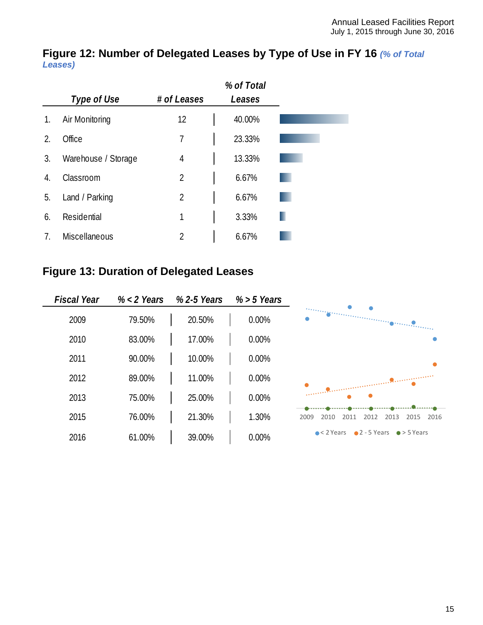#### <span id="page-14-0"></span>**Figure 12: Number of Delegated Leases by Type of Use in FY 16** *(% of Total Leases)*

|    |                      |             | % of Total |
|----|----------------------|-------------|------------|
|    | Type of Use          | # of Leases | Leases     |
| 1. | Air Monitoring       | 12          | 40.00%     |
| 2. | Office               | 7           | 23.33%     |
| 3. | Warehouse / Storage  | 4           | 13.33%     |
| 4. | Classroom            | 2           | 6.67%      |
| 5. | Land / Parking       | 2           | 6.67%      |
| 6. | Residential          | 1           | 3.33%      |
| 7. | <b>Miscellaneous</b> | 2           | 6.67%      |

# <span id="page-14-1"></span>**Figure 13: Duration of Delegated Leases**

| <b>Fiscal Year</b> | $% < 2$ Years | % 2-5 Years | $% > 5$ Years |                                                                     |
|--------------------|---------------|-------------|---------------|---------------------------------------------------------------------|
| 2009               | 79.50%        | 20.50%      | 0.00%         |                                                                     |
| 2010               | 83.00%        | 17.00%      | 0.00%         |                                                                     |
| 2011               | 90.00%        | 10.00%      | 0.00%         |                                                                     |
| 2012               | 89.00%        | 11.00%      | 0.00%         |                                                                     |
| 2013               | 75.00%        | 25.00%      | 0.00%         |                                                                     |
| 2015               | 76.00%        | 21.30%      | 1.30%         | 2009<br>2012<br>2013<br>2015<br>2016<br>2010<br>2011                |
| 2016               | 61.00%        | 39.00%      | 0.00%         | $\bullet$ 2 - 5 Years<br>$\bullet$ < 2 Years<br>$\bullet$ > 5 Years |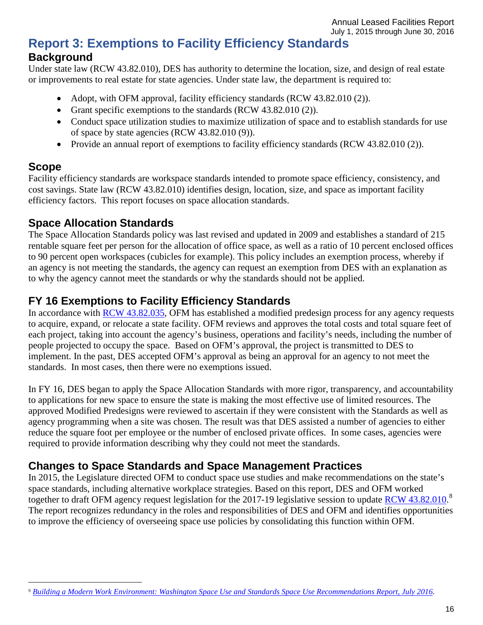# <span id="page-15-0"></span>**Report 3: Exemptions to Facility Efficiency Standards Background**

<span id="page-15-1"></span>Under state law (RCW 43.82.010), DES has authority to determine the location, size, and design of real estate or improvements to real estate for state agencies. Under state law, the department is required to:

- Adopt, with OFM approval, facility efficiency standards [\(RCW 43.82.010](http://apps.leg.wa.gov/rcw/default.aspx?cite=43.82.010) (2)).
- Grant specific exemptions to the standards [\(RCW 43.82.010](http://apps.leg.wa.gov/rcw/default.aspx?cite=43.82.010) (2)).
- Conduct space utilization studies to maximize utilization of space and to establish standards for use of space by state agencies [\(RCW 43.82.010](http://apps.leg.wa.gov/rcw/default.aspx?cite=43.82.010) (9)).
- Provide an annual report of exemptions to facility efficiency standards (RCW 43.82.010 (2)).

# <span id="page-15-2"></span>**Scope**

Facility efficiency standards are workspace standards intended to promote space efficiency, consistency, and cost savings. State law [\(RCW 43.82.010\)](http://apps.leg.wa.gov/rcw/default.aspx?cite=43.82.010) identifies design, location, size, and space as important facility efficiency factors. This report focuses on space allocation standards.

## <span id="page-15-3"></span>**Space Allocation Standards**

The Space Allocation Standards policy was last revised and updated in 2009 and establishes a standard of 215 rentable square feet per person for the allocation of office space, as well as a ratio of 10 percent enclosed offices to 90 percent open workspaces (cubicles for example). This policy includes an exemption process, whereby if an agency is not meeting the standards, the agency can request an exemption from DES with an explanation as to why the agency cannot meet the standards or why the standards should not be applied.

# <span id="page-15-4"></span>**FY 16 Exemptions to Facility Efficiency Standards**

In accordance with [RCW 43.82.035,](http://apps.leg.wa.gov/rcw/default.aspx?cite=43.82.035) OFM has established a modified predesign process for any agency requests to acquire, expand, or relocate a state facility. OFM reviews and approves the total costs and total square feet of each project, taking into account the agency's business, operations and facility's needs, including the number of people projected to occupy the space. Based on OFM's approval, the project is transmitted to DES to implement. In the past, DES accepted OFM's approval as being an approval for an agency to not meet the standards. In most cases, then there were no exemptions issued.

In FY 16, DES began to apply the Space Allocation Standards with more rigor, transparency, and accountability to applications for new space to ensure the state is making the most effective use of limited resources. The approved Modified Predesigns were reviewed to ascertain if they were consistent with the Standards as well as agency programming when a site was chosen. The result was that DES assisted a number of agencies to either reduce the square foot per employee or the number of enclosed private offices. In some cases, agencies were required to provide information describing why they could not meet the standards.

## <span id="page-15-5"></span>**Changes to Space Standards and Space Management Practices**

In 2015, the Legislature directed OFM to conduct space use studies and make recommendations on the state's space standards, including alternative workplace strategies. Based on this report, DES and OFM worked together to draft OFM agency request legislation for the 2017-19 legislative session to update [RCW 43.82.010.](http://apps.leg.wa.gov/rcw/default.aspx?cite=43.82.010)<sup>[8](#page-15-6)</sup> The report recognizes redundancy in the roles and responsibilities of DES and OFM and identifies opportunities to improve the efficiency of overseeing space use policies by consolidating this function within OFM.

<span id="page-15-6"></span> <sup>8</sup> *[Building a Modern Work Environment: Washington Space Use and Standards Space](http://www.ofm.wa.gov/initiatives/workplacestrategies/documents/WPStrategy_SpaceUseStudyReportJuly2016.pdf) Use Recommendations Report, July 2016.*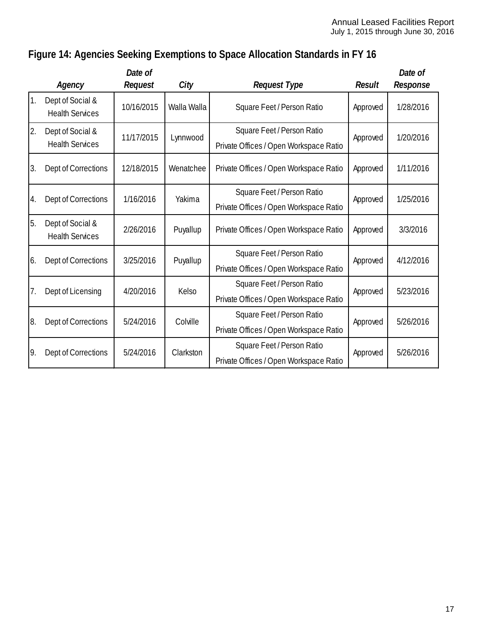# <span id="page-16-0"></span>**Figure 14: Agencies Seeking Exemptions to Space Allocation Standards in FY 16**

|    | Agency                                     | Date of<br>Request | City        | <b>Request Type</b>                                                  | <b>Result</b> | Date of<br>Response |
|----|--------------------------------------------|--------------------|-------------|----------------------------------------------------------------------|---------------|---------------------|
| 1. | Dept of Social &<br><b>Health Services</b> | 10/16/2015         | Walla Walla | Square Feet / Person Ratio                                           | Approved      | 1/28/2016           |
| 2. | Dept of Social &<br><b>Health Services</b> | 11/17/2015         | Lynnwood    | Square Feet / Person Ratio<br>Private Offices / Open Workspace Ratio | Approved      | 1/20/2016           |
| 3. | Dept of Corrections                        | 12/18/2015         | Wenatchee   | Private Offices / Open Workspace Ratio                               | Approved      | 1/11/2016           |
| 4. | Dept of Corrections                        | 1/16/2016          | Yakima      | Square Feet / Person Ratio<br>Private Offices / Open Workspace Ratio | Approved      | 1/25/2016           |
| 5. | Dept of Social &<br><b>Health Services</b> | 2/26/2016          | Puyallup    | Private Offices / Open Workspace Ratio                               | Approved      | 3/3/2016            |
| 6. | Dept of Corrections                        | 3/25/2016          | Puyallup    | Square Feet / Person Ratio<br>Private Offices / Open Workspace Ratio | Approved      | 4/12/2016           |
| 7. | Dept of Licensing                          | 4/20/2016          | Kelso       | Square Feet / Person Ratio<br>Private Offices / Open Workspace Ratio | Approved      | 5/23/2016           |
| 8. | Dept of Corrections                        | 5/24/2016          | Colville    | Square Feet / Person Ratio<br>Private Offices / Open Workspace Ratio | Approved      | 5/26/2016           |
| 9. | Dept of Corrections                        | 5/24/2016          | Clarkston   | Square Feet / Person Ratio<br>Private Offices / Open Workspace Ratio | Approved      | 5/26/2016           |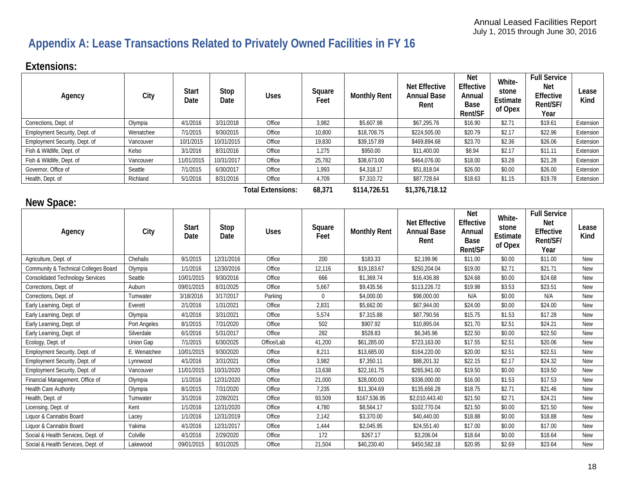# **Appendix A: Lease Transactions Related to Privately Owned Facilities in FY 16**

# **Extensions:**

| Agency                        | City      | <b>Start</b><br>Date | Stop<br>Date | <b>Uses</b>              | Square<br>Feet | <b>Monthly Rent</b> | <b>Net Effective</b><br><b>Annual Base</b><br>Rent | <b>Net</b><br>Effective<br>Annual<br>Base<br>Rent/SF | White-<br>stone<br>Estimate<br>of Opex | <b>Full Service</b><br><b>Net</b><br>Effective<br>Rent/SF/<br>Year | Lease<br>Kind |
|-------------------------------|-----------|----------------------|--------------|--------------------------|----------------|---------------------|----------------------------------------------------|------------------------------------------------------|----------------------------------------|--------------------------------------------------------------------|---------------|
| Corrections, Dept. of         | Olympia   | 4/1/2016             | 3/31/2018    | Office                   | 3,982          | \$5,607.98          | \$67,295.76                                        | \$16.90                                              | \$2.71                                 | \$19.61                                                            | Extension     |
| Employment Security, Dept. of | Wenatchee | 7/1/2015             | 9/30/2015    | Office                   | 10,800         | \$18,708.75         | \$224,505.00                                       | \$20.79                                              | \$2.17                                 | \$22.96                                                            | Extension     |
| Employment Security, Dept. of | Vancouver | 10/1/2015            | 10/31/2015   | Office                   | 19,830         | \$39,157.89         | \$469,894.68                                       | \$23.70                                              | \$2.36                                 | \$26.06                                                            | Extension     |
| Fish & Wildlife, Dept. of     | Kelso     | 3/1/2016             | 8/31/2016    | Office                   | 1,275          | \$950.00            | \$11,400.00                                        | \$8.94                                               | \$2.17                                 | \$11.11                                                            | Extension     |
| Fish & Wildlife, Dept. of     | Vancouver | 11/01/2015           | 10/31/2017   | Office                   | 25,782         | \$38,673.00         | \$464,076.00                                       | \$18.00                                              | \$3.28                                 | \$21.28                                                            | Extension     |
| Governor, Office of           | Seattle   | 7/1/2015             | 6/30/2017    | Office                   | 1.993          | \$4,318.17          | \$51,818.04                                        | \$26.00                                              | \$0.00                                 | \$26.00                                                            | Extension     |
| Health, Dept. of              | Richland  | 5/1/2016             | 8/31/2016    | Office                   | 4,709          | \$7,310.72          | \$87,728.64                                        | \$18.63                                              | \$1.15                                 | \$19.78                                                            | Extension     |
|                               |           |                      |              | <b>Total Extensions:</b> | 68,371         | \$114,726.51        | \$1,376,718.12                                     |                                                      |                                        |                                                                    |               |

#### <span id="page-17-0"></span>**New Space:**

| Agency                                  | City         | <b>Start</b><br>Date | Stop<br>Date | <b>Uses</b> | Square<br>Feet | <b>Monthly Rent</b> | <b>Net Effective</b><br><b>Annual Base</b><br>Rent | <b>Net</b><br>Effective<br>Annua<br>Base<br>Rent/SF | White-<br>stone<br>Estimate<br>of Opex | <b>Full Service</b><br><b>Net</b><br>Effective<br>Rent/SF/<br>Year | Lease<br>Kind |
|-----------------------------------------|--------------|----------------------|--------------|-------------|----------------|---------------------|----------------------------------------------------|-----------------------------------------------------|----------------------------------------|--------------------------------------------------------------------|---------------|
| Agriculture, Dept. of                   | Chehalis     | 9/1/2015             | 12/31/2016   | Office      | 200            | \$183.33            | \$2,199.96                                         | \$11.00                                             | \$0.00                                 | \$11.00                                                            | New           |
| Community & Technical Colleges Board    | Olympia      | 1/1/2016             | 12/30/2016   | Office      | 12,116         | \$19,183.67         | \$250,204.04                                       | \$19.00                                             | \$2.71                                 | \$21.71                                                            | New           |
| <b>Consolidated Technology Services</b> | Seattle      | 10/01/2015           | 9/30/2016    | Office      | 666            | \$1,369.74          | \$16,436.88                                        | \$24.68                                             | \$0.00                                 | \$24.68                                                            | New           |
| Corrections, Dept. of                   | Auburn       | 09/01/2015           | 8/31/2025    | Office      | 5,667          | \$9,435.56          | \$113,226.72                                       | \$19.98                                             | \$3.53                                 | \$23.51                                                            | New           |
| Corrections, Dept. of                   | Tumwater     | 3/18/2016            | 3/17/2017    | Parking     | $\Omega$       | \$4,000.00          | \$98,000.00                                        | N/A                                                 | \$0.00                                 | N/A                                                                | <b>New</b>    |
| Early Learning, Dept. of                | Everett      | 2/1/2016             | 1/31/2021    | Office      | 2,831          | \$5,662.00          | \$67,944.00                                        | \$24.00                                             | \$0.00                                 | \$24.00                                                            | <b>New</b>    |
| Early Learning, Dept. of                | Olympia      | 4/1/2016             | 3/31/2021    | Office      | 5,574          | \$7,315.88          | \$87,790.56                                        | \$15.75                                             | \$1.53                                 | \$17.28                                                            | <b>New</b>    |
| Early Learning, Dept. of                | Port Angeles | 8/1/2015             | 7/31/2020    | Office      | 502            | \$907.92            | \$10,895.04                                        | \$21.70                                             | \$2.51                                 | \$24.21                                                            | New           |
| Early Learning, Dept. of                | Silverdale   | 6/1/2016             | 5/31/2017    | Office      | 282            | \$528.83            | \$6,345.96                                         | \$22.50                                             | \$0.00                                 | \$22.50                                                            | New           |
| Ecology, Dept. of                       | Union Gap    | 7/1/2015             | 6/30/2025    | Office/Lab  | 41,200         | \$61,285.00         | \$723,163.00                                       | \$17.55                                             | \$2.51                                 | \$20.06                                                            | New           |
| Employment Security, Dept. of           | E. Wenatchee | 10/01/2015           | 9/30/2020    | Office      | 8,211          | \$13,685.00         | \$164,220.00                                       | \$20.00                                             | \$2.51                                 | \$22.51                                                            | New           |
| Employment Security, Dept. of           | Lynnwood     | 4/1/2016             | 3/31/2021    | Office      | 3,982          | \$7,350.11          | \$88,201.32                                        | \$22.15                                             | \$2.17                                 | \$24.32                                                            | <b>New</b>    |
| Employment Security, Dept. of           | Vancouver    | 11/01/2015           | 10/31/2020   | Office      | 13,638         | \$22,161.75         | \$265,941.00                                       | \$19.50                                             | \$0.00                                 | \$19.50                                                            | <b>New</b>    |
| Financial Management, Office of         | Olympia      | 1/1/2016             | 12/31/2020   | Office      | 21,000         | \$28,000.00         | \$336,000.00                                       | \$16.00                                             | \$1.53                                 | \$17.53                                                            | New           |
| <b>Health Care Authority</b>            | Olympia      | 8/1/2015             | 7/31/2020    | Office      | 7,235          | \$11,304.69         | \$135,656.28                                       | \$18.75                                             | \$2.71                                 | \$21.46                                                            | New           |
| Health, Dept. of                        | Tumwater     | 3/1/2016             | 2/28/2021    | Office      | 93,509         | \$167,536.95        | \$2,010,443.40                                     | \$21.50                                             | \$2.71                                 | \$24.21                                                            | <b>New</b>    |
| Licensing, Dept. of                     | Kent         | 1/1/2016             | 12/31/2020   | Office      | 4,780          | \$8,564.17          | \$102,770.04                                       | \$21.50                                             | \$0.00                                 | \$21.50                                                            | New           |
| Liquor & Cannabis Board                 | Lacey        | 1/1/2016             | 12/31/2019   | Office      | 2,142          | \$3,370.00          | \$40,440.00                                        | \$18.88                                             | \$0.00                                 | \$18.88                                                            | New           |
| Liquor & Cannabis Board                 | Yakima       | 4/1/2016             | 12/31/2017   | Office      | 1,444          | \$2,045.95          | \$24,551.40                                        | \$17.00                                             | \$0.00                                 | \$17.00                                                            | <b>New</b>    |
| Social & Health Services, Dept. of      | Colville     | 4/1/2016             | 2/29/2020    | Office      | 172            | \$267.17            | \$3,206.04                                         | \$18.64                                             | \$0.00                                 | \$18.64                                                            | <b>New</b>    |
| Social & Health Services, Dept. of      | Lakewood     | 09/01/2015           | 8/31/2025    | Office      | 21,504         | \$40,230.40         | \$450,582.18                                       | \$20.95                                             | \$2.69                                 | \$23.64                                                            | New           |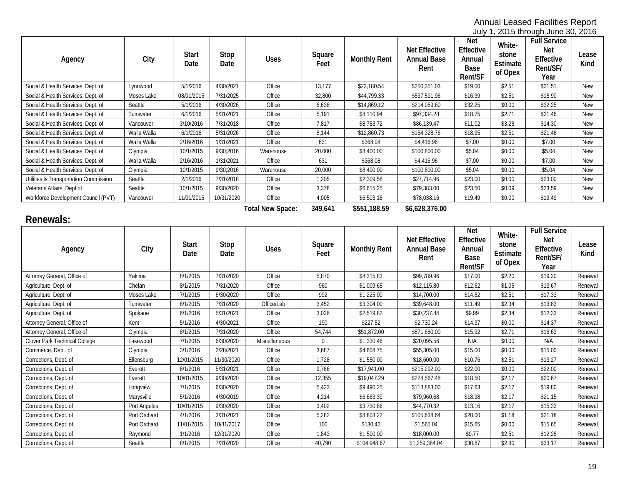July 1, 2015 through June 30, 2016

| Agency                                | City        | <b>Start</b><br>Date | Stop<br>Date | <b>Uses</b> | Square<br>Feet | <b>Monthly Rent</b> | <b>Net Effective</b><br><b>Annual Base</b><br>Rent | <b>Net</b><br><b>Effective</b><br>Annual<br>Base<br>Rent/SF | White-<br>stone<br>Estimate<br>of Opex | <b>Full Service</b><br><b>Net</b><br>Effective<br>Rent/SF/<br>Year | Lease<br>Kind |
|---------------------------------------|-------------|----------------------|--------------|-------------|----------------|---------------------|----------------------------------------------------|-------------------------------------------------------------|----------------------------------------|--------------------------------------------------------------------|---------------|
| Social & Health Services, Dept. of    | Lynnwood    | 5/1/2016             | 4/30/2021    | Office      | 13,177         | \$23,180.54         | \$250,351.03                                       | \$19.00                                                     | \$2.51                                 | \$21.51                                                            | <b>New</b>    |
| Social & Health Services, Dept. of    | Moses Lake  | 08/01/2015           | 7/31/2025    | Office      | 32,800         | \$44,799.33         | \$537,591.96                                       | \$16.39                                                     | \$2.51                                 | \$18.90                                                            | <b>New</b>    |
| Social & Health Services, Dept. of    | Seattle     | 5/1/2016             | 4/30/2026    | Office      | 6,638          | \$14,869.12         | \$214,059.60                                       | \$32.25                                                     | \$0.00                                 | \$32.25                                                            | <b>New</b>    |
| Social & Health Services, Dept. of    | Tumwater    | 6/1/2016             | 5/31/2021    | Office      | 5,191          | \$8,110.94          | \$97,334.28                                        | \$18.75                                                     | \$2.71                                 | \$21.46                                                            | <b>New</b>    |
| Social & Health Services, Dept. of    | Vancouver   | 3/10/2016            | 7/31/2018    | Office      | 7,817          | \$8,783.72          | \$86,139.47                                        | \$11.02                                                     | \$3.28                                 | \$14.30                                                            | <b>New</b>    |
| Social & Health Services, Dept. of    | Walla Walla | 6/1/2016             | 5/31/2026    | Office      | 8,144          | \$12,860.73         | \$154,328.76                                       | \$18.95                                                     | \$2.51                                 | \$21.46                                                            | <b>New</b>    |
| Social & Health Services, Dept. of    | Walla Walla | 2/16/2016            | 1/31/2021    | Office      | 631            | \$368.08            | \$4,416.96                                         | \$7.00                                                      | \$0.00                                 | \$7.00                                                             | <b>New</b>    |
| Social & Health Services, Dept. of    | Olympia     | 10/1/2015            | 9/30:2016    | Warehouse   | 20,000         | \$8,400.00          | \$100,800.00                                       | \$5.04                                                      | \$0.00                                 | \$5.04                                                             | <b>New</b>    |
| Social & Health Services, Dept. of    | Walla Walla | 2/16/2016            | 1/31/2021    | Office      | 631            | \$368.08            | \$4,416.96                                         | \$7.00                                                      | \$0.00                                 | \$7.00                                                             | <b>New</b>    |
| Social & Health Services, Dept. of    | Olympia     | 10/1/2015            | 9/30;2016    | Warehouse   | 20,000         | \$8,400.00          | \$100,800.00                                       | \$5.04                                                      | \$0.00                                 | \$5.04                                                             | <b>New</b>    |
| Utilities & Transportation Commission | Seattle     | 2/1/2016             | 7/31/2018    | Office      | 1,205          | \$2,309.58          | \$27,714.96                                        | \$23.00                                                     | \$0.00                                 | \$23.00                                                            | <b>New</b>    |
| Veterans Affairs, Dept of             | Seattle     | 10/1/2015            | 9/30/2020    | Office      | 3,378          | \$6,615.25          | \$79,383.00                                        | \$23.50                                                     | \$0.09                                 | \$23.59                                                            | <b>New</b>    |
| Workforce Development Council (PVT)   | Vancouver   | 11/01/2015           | 10/31/2020   | Office      | 4,005          | \$6,503.18          | \$78,038.16                                        | \$19.49                                                     | \$0.00                                 | \$19.49                                                            | <b>New</b>    |

**Total New Space: 349,641 \$551,188.59 \$6,628,376.00**

# **Renewals:**

| Agency                        | City         | <b>Start</b><br>Date | Stop<br>Date | <b>Uses</b>   | Square<br>Feet | <b>Monthly Rent</b> | <b>Net Effective</b><br><b>Annual Base</b><br>Rent | <b>Net</b><br>Effective<br>Annual<br>Base<br>Rent/SF | White-<br>stone<br>Estimate<br>of Opex | <b>Full Service</b><br><b>Net</b><br>Effective<br>Rent/SF/<br>Year | Lease<br>Kind |
|-------------------------------|--------------|----------------------|--------------|---------------|----------------|---------------------|----------------------------------------------------|------------------------------------------------------|----------------------------------------|--------------------------------------------------------------------|---------------|
| Attorney General, Office of   | Yakima       | 8/1/2015             | 7/31/2020    | Office        | 5,870          | \$8,315.83          | \$99,789.96                                        | \$17.00                                              | \$2.20                                 | \$19.20                                                            | Renewal       |
| Agriculture, Dept. of         | Chelan       | 8/1/2015             | 7/31/2020    | Office        | 960            | \$1,009.65          | \$12,115.80                                        | \$12.62                                              | \$1.05                                 | \$13.67                                                            | Renewal       |
| Agriculture, Dept. of         | Moses Lake   | 7/1/2015             | 6/30/2020    | Office        | 992            | \$1,225.00          | \$14,700.00                                        | \$14.82                                              | \$2.51                                 | \$17.33                                                            | Renewal       |
| Agriculture, Dept. of         | Tumwater     | 8/1/2015             | 7/31/2020    | Office/Lab    | 3,452          | \$3,304.00          | \$39,648.00                                        | \$11.49                                              | \$2.34                                 | \$13.83                                                            | Renewal       |
| Agriculture, Dept. of         | Spokane      | 6/1/2016             | 5/31/2021    | Office        | 3,026          | \$2,519.82          | \$30,237.84                                        | \$9.99                                               | \$2.34                                 | \$12.33                                                            | Renewal       |
| Attorney General, Office of   | Kent         | 5/1/2016             | 4/30/2021    | Office        | 190            | \$227.52            | \$2,730.24                                         | \$14.37                                              | \$0.00                                 | \$14.37                                                            | Renewal       |
| Attorney General, Office of   | Olympia      | 8/1/2015             | 7/31/2020    | Office        | 54,744         | \$51,872.00         | \$871,680.00                                       | \$15.92                                              | \$2.71                                 | \$18.63                                                            | Renewal       |
| Clover Park Technical College | Lakewood     | 7/1/2015             | 6/30/2020    | Miscellaneous | $\mathbf{0}$   | \$1,330.46          | \$20,095.56                                        | N/A                                                  | \$0.00                                 | N/A                                                                | Renewal       |
| Commerce, Dept. of            | Olympia      | 3/1/2016             | 2/28/2021    | Office        | 3,687          | \$4,608.75          | \$55,305.00                                        | \$15.00                                              | \$0.00                                 | \$15.00                                                            | Renewal       |
| Corrections, Dept. of         | Ellensburg   | 12/01/2015           | 11/30/2020   | Office        | 1,728          | \$1,550.00          | \$18,600.00                                        | \$10.76                                              | \$2.51                                 | \$13.27                                                            | Renewal       |
| Corrections, Dept. of         | Everett      | 6/1/2016             | 5/31/2021    | Office        | 9,786          | \$17,941.00         | \$215,292.00                                       | \$22.00                                              | \$0.00                                 | \$22.00                                                            | Renewal       |
| Corrections, Dept. of         | Everett      | 10/01/2015           | 9/30/2020    | Office        | 12,355         | \$19,047.29         | \$228,567.48                                       | \$18.50                                              | \$2.17                                 | \$20.67                                                            | Renewal       |
| Corrections, Dept. of         | Longview     | 7/1/2015             | 6/30/2020    | Office        | 5,423          | \$9,490.25          | \$113,883.00                                       | \$17.63                                              | \$2.17                                 | \$19.80                                                            | Renewal       |
| Corrections, Dept. of         | Marysville   | 5/1/2016             | 4/30/2019    | Office        | 4,214          | \$6,663.39          | \$79,960.68                                        | \$18.98                                              | \$2.17                                 | \$21.15                                                            | Renewal       |
| Corrections, Dept. of         | Port Angeles | 10/01/2015           | 9/30/2020    | Office        | 3,402          | \$3,730.86          | \$44,770.32                                        | \$13.16                                              | \$2.17                                 | \$15.33                                                            | Renewal       |
| Corrections, Dept. of         | Port Orchard | 4/1/2016             | 3/31/2021    | Office        | 5,282          | \$8,803.22          | \$105,638.64                                       | \$20.00                                              | \$1.18                                 | \$21.18                                                            | Renewal       |
| Corrections, Dept. of         | Port Orchard | 11/01/2015           | 10/31/2017   | Office        | 100            | \$130.42            | \$1,565.04                                         | \$15.65                                              | \$0.00                                 | \$15.65                                                            | Renewal       |
| Corrections, Dept. of         | Raymond      | 1/1/2016             | 12/31/2020   | Office        | 1,843          | \$1,500.00          | \$18,000.00                                        | \$9.77                                               | \$2.51                                 | \$12.28                                                            | Renewal       |
| Corrections, Dept. of         | Seattle      | 8/1/2015             | 7/31/2020    | Office        | 40,790         | \$104.948.67        | \$1.259.384.04                                     | \$30.87                                              | \$2.30                                 | \$33.17                                                            | Renewal       |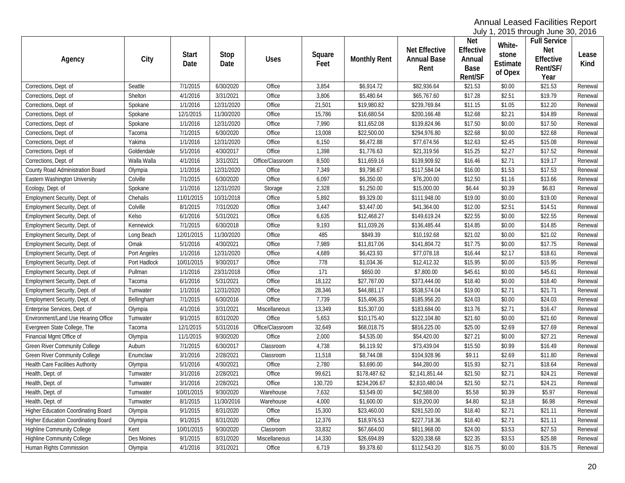July 1, 2015 through June 30, 2016

| Agency                                     | City         | <b>Start</b><br>Date | Stop<br>Date | <b>Uses</b>      | Square<br>Feet | <b>Monthly Rent</b> | <b>Net Effective</b><br><b>Annual Base</b><br>Rent | <b>Net</b><br>Effective<br>Annual<br>Base<br>Rent/SF | White-<br>stone<br>Estimate<br>of Opex | <b>Full Service</b><br><b>Net</b><br>Effective<br>Rent/SF/<br>Year | Lease<br>Kind |
|--------------------------------------------|--------------|----------------------|--------------|------------------|----------------|---------------------|----------------------------------------------------|------------------------------------------------------|----------------------------------------|--------------------------------------------------------------------|---------------|
| Corrections, Dept. of                      | Seattle      | 7/1/2015             | 6/30/2020    | Office           | 3,854          | \$6,914.72          | \$82,936.64                                        | \$21.53                                              | \$0.00                                 | \$21.53                                                            | Renewal       |
| Corrections, Dept. of                      | Shelton      | 4/1/2016             | 3/31/2021    | Office           | 3,806          | \$5,480.64          | \$65,767.60                                        | \$17.28                                              | \$2.51                                 | \$19.79                                                            | Renewal       |
| Corrections, Dept. of                      | Spokane      | 1/1/2016             | 12/31/2020   | Office           | 21,501         | \$19,980.82         | \$239,769.84                                       | \$11.15                                              | \$1.05                                 | \$12.20                                                            | Renewal       |
| Corrections, Dept. of                      | Spokane      | 12/1/2015            | 11/30/2020   | Office           | 15,786         | \$16,680.54         | \$200,166.48                                       | \$12.68                                              | \$2.21                                 | \$14.89                                                            | Renewal       |
| Corrections, Dept. of                      | Spokane      | 1/1/2016             | 12/31/2020   | Office           | 7,990          | \$11,652.08         | \$139,824.96                                       | \$17.50                                              | \$0.00                                 | \$17.50                                                            | Renewal       |
| Corrections, Dept. of                      | Tacoma       | 7/1/2015             | 6/30/2020    | Office           | 13,008         | \$22,500.00         | \$294,976.80                                       | \$22.68                                              | \$0.00                                 | \$22.68                                                            | Renewal       |
| Corrections, Dept. of                      | Yakima       | 1/1/2016             | 12/31/2020   | Office           | 6,150          | \$6,472.88          | \$77,674.56                                        | \$12.63                                              | \$2.45                                 | \$15.08                                                            | Renewal       |
| Corrections, Dept. of                      | Goldendale   | 5/1/2016             | 4/30/2017    | Office           | 1,398          | \$1,776.63          | \$21,319.56                                        | \$15.25                                              | \$2.27                                 | \$17.52                                                            | Renewal       |
| Corrections, Dept. of                      | Walla Walla  | 4/1/2016             | 3/31/2021    | Office/Classroom | 8,500          | \$11,659.16         | \$139,909.92                                       | \$16.46                                              | \$2.71                                 | \$19.17                                                            | Renewal       |
| County Road Administration Board           | Olympia      | 1/1/2016             | 12/31/2020   | Office           | 7,349          | \$9,798.67          | \$117,584.04                                       | \$16.00                                              | \$1.53                                 | \$17.53                                                            | Renewal       |
| Eastern Washington University              | Colville     | 7/1/2015             | 6/30/2020    | Office           | 6,097          | \$6,350.00          | \$76,200.00                                        | \$12.50                                              | \$1.16                                 | \$13.66                                                            | Renewal       |
| Ecology, Dept. of                          | Spokane      | 1/1/2016             | 12/31/2020   | Storage          | 2,328          | \$1,250.00          | \$15,000.00                                        | \$6.44                                               | \$0.39                                 | \$6.83                                                             | Renewal       |
| Employment Security, Dept. of              | Chehalis     | 11/01/2015           | 10/31/2018   | Office           | 5,892          | \$9,329.00          | \$111,948.00                                       | \$19.00                                              | \$0.00                                 | \$19.00                                                            | Renewal       |
| Employment Security, Dept. of              | Colville     | 8/1/2015             | 7/31/2020    | Office           | 3,447          | \$3,447.00          | \$41,364.00                                        | \$12.00                                              | \$2.51                                 | \$14.51                                                            | Renewal       |
| Employment Security, Dept. of              | Kelso        | 6/1/2016             | 5/31/2021    | Office           | 6,635          | \$12,468.27         | \$149,619.24                                       | \$22.55                                              | \$0.00                                 | \$22.55                                                            | Renewal       |
| Employment Security, Dept. of              | Kennewick    | 7/1/2015             | 6/30/2018    | Office           | 9,193          | \$11,039.26         | \$136,485.44                                       | \$14.85                                              | \$0.00                                 | \$14.85                                                            | Renewal       |
| Employment Security, Dept. of              | Long Beach   | 12/01/2015           | 11/30/2020   | Office           | 485            | \$849.39            | \$10,192.68                                        | \$21.02                                              | \$0.00                                 | \$21.02                                                            | Renewal       |
| Employment Security, Dept. of              | Omak         | 5/1/2016             | 4/30/2021    | Office           | 7,989          | \$11,817.06         | \$141,804.72                                       | \$17.75                                              | \$0.00                                 | \$17.75                                                            | Renewal       |
| Employment Security, Dept. of              | Port Angeles | 1/1/2016             | 12/31/2020   | Office           | 4,689          | \$6,423.93          | \$77,078.18                                        | \$16.44                                              | \$2.17                                 | \$18.61                                                            | Renewal       |
| Employment Security, Dept. of              | Port Hadlock | 10/01/2015           | 9/30/2017    | Office           | 778            | \$1,034.36          | \$12,412.32                                        | \$15.95                                              | \$0.00                                 | \$15.95                                                            | Renewal       |
| Employment Security, Dept. of              | Pullman      | 1/1/2016             | 23/31/2018   | Office           | 171            | \$650.00            | \$7,800.00                                         | \$45.61                                              | \$0.00                                 | \$45.61                                                            | Renewal       |
| Employment Security, Dept. of              | Tacoma       | 6/1/2016             | 5/31/2021    | Office           | 18,122         | \$27,787.00         | \$373,444.00                                       | \$18.40                                              | \$0.00                                 | \$18.40                                                            | Renewal       |
| Employment Security, Dept. of              | Tumwater     | 1/1/2016             | 12/31/2020   | Office           | 28,346         | \$44,881.17         | \$538,574.04                                       | \$19.00                                              | \$2.71                                 | \$21.71                                                            | Renewal       |
| Employment Security, Dept. of              | Bellingham   | 7/1/2015             | 6/30/2016    | Office           | 7,739          | \$15,496.35         | \$185,956.20                                       | \$24.03                                              | \$0.00                                 | \$24.03                                                            | Renewal       |
| Enterprise Services, Dept. of              | Olympia      | 4/1/2016             | 3/31/2021    | Miscellaneous    | 13,349         | \$15,307.00         | \$183,684.00                                       | \$13.76                                              | \$2.71                                 | \$16.47                                                            | Renewal       |
| Environment/Land Use Hearing Office        | Tumwater     | 9/1/2015             | 8/31/2020    | Office           | 5,653          | \$10,175.40         | \$122,104.80                                       | \$21.60                                              | \$0.00                                 | \$21.60                                                            | Renewal       |
| Evergreen State College, The               | Tacoma       | 12/1/2015            | 5/31/2016    | Office/Classroom | 32,649         | \$68,018.75         | \$816,225.00                                       | \$25.00                                              | \$2.69                                 | \$27.69                                                            | Renewal       |
| Financial Mgmt Office of                   | Olympia      | 11/1/2015            | 9/30/2020    | Office           | 2,000          | \$4,535.00          | \$54,420.00                                        | \$27.21                                              | \$0.00                                 | \$27.21                                                            | Renewal       |
| Green River Community College              | Auburn       | 7/1/2015             | 6/30/2017    | Classroom        | 4,738          | \$6,119.92          | \$73,439.04                                        | \$15.50                                              | \$0.99                                 | \$16.49                                                            | Renewal       |
| <b>Green River Community College</b>       | Enumclaw     | 3/1/2016             | 2/28/2021    | Classroom        | 11,518         | \$8,744.08          | \$104,928.96                                       | \$9.11                                               | \$2.69                                 | \$11.80                                                            | Renewal       |
| <b>Health Care Facilities Authority</b>    | Olympia      | 5/1/2016             | 4/30/2021    | Office           | 2,780          | \$3,690.00          | \$44,280.00                                        | \$15.93                                              | \$2.71                                 | \$18.64                                                            | Renewal       |
| Health, Dept. of                           | Tumwater     | 3/1/2016             | 2/28/2021    | Office           | 99,621         | \$178,487.62        | \$2,141,851.44                                     | \$21.50                                              | \$2.71                                 | \$24.21                                                            | Renewal       |
| Health, Dept. of                           | Tumwater     | 3/1/2016             | 2/28/2021    | Office           | 130,720        | \$234,206.67        | \$2,810,480.04                                     | \$21.50                                              | \$2.71                                 | \$24.21                                                            | Renewal       |
| Health, Dept. of                           | Tumwater     | 10/01/2015           | 9/30/2020    | Warehouse        | 7,632          | \$3,549.00          | \$42,588.00                                        | \$5.58                                               | \$0.39                                 | \$5.97                                                             | Renewal       |
| Health, Dept. of                           | Tumwater     | 8/1/2015             | 11/30/2016   | Warehouse        | 4,000          | \$1,600.00          | \$19,200.00                                        | \$4.80                                               | \$2.18                                 | \$6.98                                                             | Renewal       |
| <b>Higher Education Coordinating Board</b> | Olympia      | 9/1/2015             | 8/31/2020    | Office           | 15,300         | \$23,460.00         | \$281,520.00                                       | \$18.40                                              | \$2.71                                 | \$21.11                                                            | Renewal       |
| Higher Education Coordinating Board        | Olympia      | 9/1/2015             | 8/31/2020    | Office           | 12,376         | \$18,976.53         | \$227,718.36                                       | \$18.40                                              | \$2.71                                 | \$21.11                                                            | Renewal       |
| <b>Highline Community College</b>          | Kent         | 10/01/2015           | 9/30/2020    | Classroom        | 33,832         | \$67,664.00         | \$811,968.00                                       | \$24.00                                              | \$3.53                                 | \$27.53                                                            | Renewal       |
| <b>Highline Community College</b>          | Des Moines   | 9/1/2015             | 8/31/2020    | Miscellaneous    | 14,330         | \$26,694.89         | \$320,338.68                                       | \$22.35                                              | \$3.53                                 | \$25.88                                                            | Renewal       |
| Human Rights Commission                    | Olympia      | 4/1/2016             | 3/31/2021    | Office           | 6,719          | \$9,378.60          | \$112,543.20                                       | \$16.75                                              | \$0.00                                 | \$16.75                                                            | Renewal       |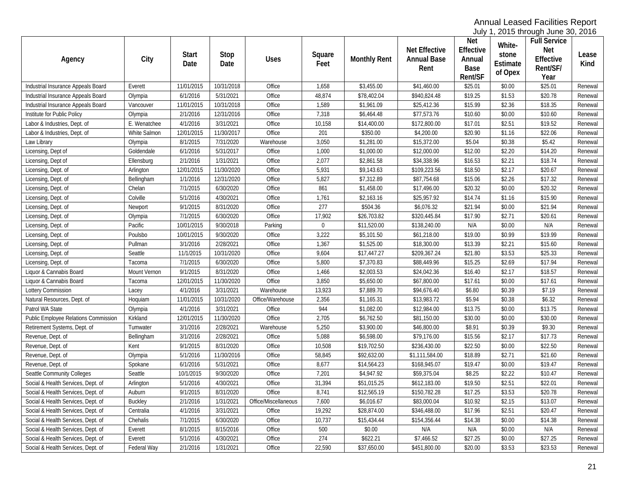July 1, 2015 through June 30, 2016

| Agency                               | City         | <b>Start</b><br>Date | Stop<br>Date | <b>Uses</b>          | Square<br>Feet | <b>Monthly Rent</b>    | <b>Net Effective</b><br><b>Annual Base</b><br>Rent | <b>Net</b><br>Effective<br>Annual<br>Base<br>Rent/SF | White-<br>stone<br>Estimate<br>of Opex | <b>Full Service</b><br>Net<br>Effective<br>Rent/SF/<br>Year | Lease<br>Kind |
|--------------------------------------|--------------|----------------------|--------------|----------------------|----------------|------------------------|----------------------------------------------------|------------------------------------------------------|----------------------------------------|-------------------------------------------------------------|---------------|
| Industrial Insurance Appeals Board   | Everett      | 11/01/2015           | 10/31/2018   | Office               | 1,658          | \$3,455.00             | \$41,460.00                                        | \$25.01                                              | \$0.00                                 | \$25.01                                                     | Renewal       |
| Industrial Insurance Appeals Board   | Olympia      | 6/1/2016             | 5/31/2021    | Office               | 48,874         | \$78,402.04            | \$940,824.48                                       | \$19.25                                              | \$1.53                                 | \$20.78                                                     | Renewal       |
| Industrial Insurance Appeals Board   | Vancouver    | 11/01/2015           | 10/31/2018   | Office               | 1,589          | \$1,961.09             | \$25,412.36                                        | \$15.99                                              | \$2.36                                 | \$18.35                                                     | Renewal       |
| Institute for Public Policy          | Olympia      | 2/1/2016             | 12/31/2016   | Office               | 7,318          | \$6,464.48             | \$77,573.76                                        | \$10.60                                              | \$0.00                                 | \$10.60                                                     | Renewal       |
| Labor & Industries, Dept. of         | E. Wenatchee | 4/1/2016             | 3/31/2021    | Office               | 10,158         | \$14,400.00            | \$172,800.00                                       | \$17.01                                              | \$2.51                                 | \$19.52                                                     | Renewal       |
| Labor & Industries, Dept. of         | White Salmon | 12/01/2015           | 11/30/2017   | Office               | 201            | \$350.00               | \$4,200.00                                         | \$20.90                                              | \$1.16                                 | \$22.06                                                     | Renewal       |
| Law Library                          | Olympia      | 8/1/2015             | 7/31/2020    | Warehouse            | 3,050          | \$1,281.00             | \$15,372.00                                        | \$5.04                                               | \$0.38                                 | \$5.42                                                      | Renewal       |
| Licensing, Dept of                   | Goldendale   | 6/1/2016             | 5/31/2017    | Office               | 1,000          | \$1,000.00             | \$12,000.00                                        | \$12.00                                              | \$2.20                                 | \$14.20                                                     | Renewal       |
| Licensing, Dept of                   | Ellensburg   | 2/1/2016             | 1/31/2021    | Office               | 2,077          | \$2,861.58             | \$34,338.96                                        | \$16.53                                              | \$2.21                                 | \$18.74                                                     | Renewal       |
| Licensing, Dept. of                  | Arlington    | 12/01/2015           | 11/30/2020   | Office               | 5,931          | \$9,143.63             | \$109,223.56                                       | \$18.50                                              | \$2.17                                 | \$20.67                                                     | Renewal       |
| Licensing, Dept. of                  | Bellingham   | 1/1/2016             | 12/31/2020   | Office               | 5,827          | \$7,312.89             | \$87,754.68                                        | \$15.06                                              | \$2.26                                 | \$17.32                                                     | Renewal       |
| Licensing, Dept. of                  | Chelan       | 7/1/2015             | 6/30/2020    | Office               | 861            | \$1,458.00             | \$17,496.00                                        | \$20.32                                              | \$0.00                                 | \$20.32                                                     | Renewal       |
| Licensing, Dept. of                  | Colville     | 5/1/2016             | 4/30/2021    | Office               | 1,761          | \$2,163.16             | \$25,957.92                                        | \$14.74                                              | \$1.16                                 | \$15.90                                                     | Renewal       |
| Licensing, Dept. of                  | Newport      | 9/1/2015             | 8/31/2020    | Office               | 277            | \$504.36               | \$6,076.32                                         | \$21.94                                              | \$0.00                                 | \$21.94                                                     | Renewal       |
| Licensing, Dept. of                  | Olympia      | 7/1/2015             | 6/30/2020    | Office               | 17,902         | \$26,703.82            | \$320,445.84                                       | \$17.90                                              | \$2.71                                 | \$20.61                                                     | Renewal       |
| Licensing, Dept. of                  | Pacific      | 10/01/2015           | 9/30/2018    | Parking              | $\bf{0}$       | \$11,520.00            | \$138,240.00                                       | N/A                                                  | \$0.00                                 | N/A                                                         | Renewal       |
| Licensing, Dept. of                  | Poulsbo      | 10/01/2015           | 9/30/2020    | Office               | 3,222          | \$5,101.50             | \$61,218.00                                        | \$19.00                                              | \$0.99                                 | \$19.99                                                     | Renewal       |
| Licensing, Dept. of                  | Pullman      | 3/1/2016             | 2/28/2021    | Office               | 1,367          | \$1,525.00             | \$18,300.00                                        | \$13.39                                              | \$2.21                                 | \$15.60                                                     | Renewal       |
| Licensing, Dept. of                  | Seattle      | 11/1/2015            | 10/31/2020   | Office               | 9,604          | \$17,447.27            | \$209,367.24                                       | \$21.80                                              | \$3.53                                 | \$25.33                                                     | Renewal       |
| Licensing, Dept. of                  | Tacoma       | 7/1/2015             | 6/30/2020    | Office               | 5,800          | \$7,370.83             | \$88,449.96                                        | \$15.25                                              | \$2.69                                 | \$17.94                                                     | Renewal       |
| Liquor & Cannabis Board              | Mount Vernon | 9/1/2015             | 8/31/2020    | Office               | 1,466          | \$2,003.53             | \$24,042.36                                        | \$16.40                                              | \$2.17                                 | \$18.57                                                     | Renewal       |
| Liquor & Cannabis Board              | Tacoma       | 12/01/2015           | 11/30/2020   | Office               | 3,850          | \$5,650.00             | \$67,800.00                                        | \$17.61                                              | \$0.00                                 | \$17.61                                                     | Renewal       |
| Lottery Commission                   | Lacey        | 4/1/2016             | 3/31/2021    | Warehouse            | 13,923         | \$7,889.70             | \$94,676.40                                        | \$6.80                                               | \$0.39                                 | \$7.19                                                      | Renewal       |
| Natural Resources, Dept. of          | Hoquiam      | 11/01/2015           | 10/31/2020   | Office/Warehouse     | 2,356          | \$1,165.31             | \$13,983.72                                        | \$5.94                                               | \$0.38                                 | \$6.32                                                      | Renewal       |
| Patrol WA State                      | Olympia      | 4/1/2016             | 3/31/2021    | Office               | 944            | \$1,082.00             | \$12,984.00                                        | \$13.75                                              | \$0.00                                 | \$13.75                                                     | Renewal       |
| Public Employee Relations Commission | Kirkland     | 12/01/2015           | 11/30/2020   | Office               | 2,705          | \$6,762.50             | \$81,150.00                                        | \$30.00                                              | \$0.00                                 | \$30.00                                                     | Renewal       |
| Retirement Systems, Dept. of         | Tumwater     | 3/1/2016             | 2/28/2021    | Warehouse            | 5,250          | \$3,900.00             | \$46,800.00                                        | \$8.91                                               | \$0.39                                 | \$9.30                                                      | Renewal       |
| Revenue, Dept. of                    | Bellingham   | 3/1/2016             | 2/28/2021    | Office               | 5,088          | \$6,598.00             | \$79,176.00                                        | \$15.56                                              | \$2.17                                 | \$17.73                                                     | Renewal       |
| Revenue, Dept. of                    | Kent         | 9/1/2015             | 8/31/2020    | Office               | 10,508         | \$19,702.50            | \$236,430.00                                       | \$22.50                                              | \$0.00                                 | \$22.50                                                     | Renewal       |
| Revenue, Dept. of                    | Olympia      | 5/1/2016             | 11/30/2016   | Office               | 58,845         | \$92,632.00            | \$1,111,584.00                                     | \$18.89                                              | \$2.71                                 | \$21.60                                                     | Renewal       |
| Revenue, Dept. of                    | Spokane      | 6/1/2016             | 5/31/2021    | Office               | 8,677          | \$14,564.23            | \$168,945.07                                       | \$19.47                                              | \$0.00                                 | \$19.47                                                     | Renewal       |
| Seattle Community Colleges           | Seattle      | 10/1/2015            | 9/30/2020    | Office               | 7,201          | $\overline{$4,947.92}$ | \$59,375.04                                        | \$8.25                                               | \$2.22                                 | \$10.47                                                     | Renewal       |
| Social & Health Services, Dept. of   | Arlington    | 5/1/2016             | 4/30/2021    | Office               | 31,394         | \$51,015.25            | \$612,183.00                                       | \$19.50                                              | \$2.51                                 | \$22.01                                                     | Renewal       |
| Social & Health Services, Dept. of   | Auburn       | 9/1/2015             | 8/31/2020    | Office               | 8,741          | \$12,565.19            | \$150,782.28                                       | \$17.25                                              | \$3.53                                 | \$20.78                                                     | Renewal       |
| Social & Health Services, Dept. of   | Buckley      | 2/1/2016             | 1/31/2021    | Office/Miscellaneous | 7,600          | \$6,016.67             | \$83,000.04                                        | \$10.92                                              | \$2.15                                 | \$13.07                                                     | Renewal       |
| Social & Health Services, Dept. of   | Centralia    | 4/1/2016             | 3/31/2021    | Office               | 19,292         | \$28,874.00            | \$346,488.00                                       | \$17.96                                              | \$2.51                                 | \$20.47                                                     | Renewal       |
| Social & Health Services, Dept. of   | Chehalis     | 7/1/2015             | 6/30/2020    | Office               | 10,737         | \$15,434.44            | \$154,356.44                                       | \$14.38                                              | \$0.00                                 | \$14.38                                                     | Renewal       |
| Social & Health Services, Dept. of   | Everett      | 8/1/2015             | 8/15/2016    | Office               | 500            | \$0.00                 | N/A                                                | N/A                                                  | \$0.00                                 | N/A                                                         | Renewal       |
| Social & Health Services, Dept. of   | Everett      | 5/1/2016             | 4/30/2021    | Office               | 274            | \$622.21               | \$7,466.52                                         | \$27.25                                              | \$0.00                                 | \$27.25                                                     | Renewal       |
| Social & Health Services, Dept. of   | Federal Way  | 2/1/2016             | 1/31/2021    | Office               | 22,590         | \$37,650.00            | \$451,800.00                                       | \$20.00                                              | \$3.53                                 | \$23.53                                                     | Renewal       |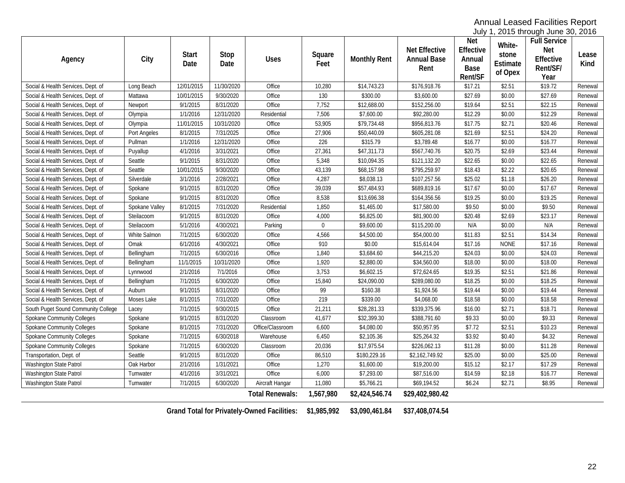July 1, 2015 through June 30, 2016

| Agency                              | City           | <b>Start</b><br>Date | Stop<br>Date | <b>Uses</b>            | Square<br>Feet | <b>Monthly Rent</b> | <b>Net Effective</b><br><b>Annual Base</b><br>Rent | <b>Net</b><br>Effective<br>Annual<br>Base<br>Rent/SF | White-<br>stone<br>Estimate<br>of Opex | <b>Full Service</b><br><b>Net</b><br>Effective<br>Rent/SF/<br>Year | Lease<br>Kind |
|-------------------------------------|----------------|----------------------|--------------|------------------------|----------------|---------------------|----------------------------------------------------|------------------------------------------------------|----------------------------------------|--------------------------------------------------------------------|---------------|
| Social & Health Services, Dept. of  | Long Beach     | 12/01/2015           | 11/30/2020   | Office                 | 10,280         | \$14,743.23         | \$176,918.76                                       | \$17.21                                              | \$2.51                                 | \$19.72                                                            | Renewal       |
| Social & Health Services, Dept. of  | Mattawa        | 10/01/2015           | 9/30/2020    | Office                 | 130            | \$300.00            | \$3,600.00                                         | \$27.69                                              | \$0.00                                 | \$27.69                                                            | Renewal       |
| Social & Health Services, Dept. of  | Newport        | 9/1/2015             | 8/31/2020    | Office                 | 7,752          | \$12,688.00         | \$152,256.00                                       | \$19.64                                              | \$2.51                                 | \$22.15                                                            | Renewal       |
| Social & Health Services, Dept. of  | Olympia        | 1/1/2016             | 12/31/2020   | Residential            | 7,506          | \$7,600.00          | \$92,280.00                                        | \$12.29                                              | \$0.00                                 | \$12.29                                                            | Renewal       |
| Social & Health Services, Dept. of  | Olympia        | 11/01/2015           | 10/31/2020   | Office                 | 53,905         | \$79,734.48         | \$956,813.76                                       | \$17.75                                              | \$2.71                                 | \$20.46                                                            | Renewal       |
| Social & Health Services, Dept. of  | Port Angeles   | 8/1/2015             | 7/31/2025    | Office                 | 27,906         | \$50,440.09         | \$605,281.08                                       | \$21.69                                              | \$2.51                                 | \$24.20                                                            | Renewal       |
| Social & Health Services, Dept. of  | Pullman        | 1/1/2016             | 12/31/2020   | Office                 | 226            | \$315.79            | \$3,789.48                                         | \$16.77                                              | \$0.00                                 | \$16.77                                                            | Renewal       |
| Social & Health Services, Dept. of  | Puyallup       | 4/1/2016             | 3/31/2021    | Office                 | 27,361         | \$47,311.73         | \$567,740.76                                       | \$20.75                                              | \$2.69                                 | \$23.44                                                            | Renewal       |
| Social & Health Services, Dept. of  | Seattle        | 9/1/2015             | 8/31/2020    | Office                 | 5,348          | \$10,094.35         | \$121,132.20                                       | \$22.65                                              | \$0.00                                 | \$22.65                                                            | Renewal       |
| Social & Health Services, Dept. of  | Seattle        | 10/01/2015           | 9/30/2020    | Office                 | 43,139         | \$68,157.98         | \$795,259.97                                       | \$18.43                                              | \$2.22                                 | \$20.65                                                            | Renewal       |
| Social & Health Services, Dept. of  | Silverdale     | 3/1/2016             | 2/28/2021    | Office                 | 4,287          | \$8,038.13          | \$107,257.56                                       | \$25.02                                              | \$1.18                                 | \$26.20                                                            | Renewal       |
| Social & Health Services, Dept. of  | Spokane        | 9/1/2015             | 8/31/2020    | Office                 | 39,039         | \$57,484.93         | \$689,819.16                                       | \$17.67                                              | \$0.00                                 | \$17.67                                                            | Renewal       |
| Social & Health Services, Dept. of  | Spokane        | 9/1/2015             | 8/31/2020    | Office                 | 8,538          | \$13,696.38         | \$164,356.56                                       | \$19.25                                              | \$0.00                                 | \$19.25                                                            | Renewal       |
| Social & Health Services, Dept. of  | Spokane Valley | 8/1/2015             | 7/31/2020    | Residential            | 1,850          | \$1,465.00          | \$17,580.00                                        | \$9.50                                               | \$0.00                                 | \$9.50                                                             | Renewal       |
| Social & Health Services, Dept. of  | Steilacoom     | 9/1/2015             | 8/31/2020    | Office                 | 4,000          | \$6,825.00          | \$81,900.00                                        | \$20.48                                              | \$2.69                                 | \$23.17                                                            | Renewal       |
| Social & Health Services, Dept. of  | Steilacoom     | 5/1/2016             | 4/30/2021    | Parking                | $\mathbf 0$    | \$9,600.00          | \$115,200.00                                       | N/A                                                  | \$0.00                                 | N/A                                                                | Renewal       |
| Social & Health Services, Dept. of  | White Salmon   | 7/1/2015             | 6/30/2020    | Office                 | 4,566          | \$4,500.00          | \$54,000.00                                        | \$11.83                                              | \$2.51                                 | \$14.34                                                            | Renewal       |
| Social & Health Services, Dept. of  | Omak           | 6/1/2016             | 4/30/2021    | Office                 | 910            | \$0.00              | \$15,614.04                                        | \$17.16                                              | <b>NONE</b>                            | \$17.16                                                            | Renewal       |
| Social & Health Services, Dept. of  | Bellingham     | 7/1/2015             | 6/30/2016    | Office                 | 1,840          | \$3,684.60          | \$44,215.20                                        | \$24.03                                              | \$0.00                                 | \$24.03                                                            | Renewal       |
| Social & Health Services, Dept. of  | Bellingham     | 11/1/2015            | 10/31/2020   | Office                 | 1,920          | \$2,880.00          | \$34,560.00                                        | \$18.00                                              | \$0.00                                 | \$18.00                                                            | Renewal       |
| Social & Health Services, Dept. of  | Lynnwood       | 2/1/2016             | 7/1/2016     | Office                 | 3,753          | \$6,602.15          | \$72,624.65                                        | \$19.35                                              | \$2.51                                 | \$21.86                                                            | Renewal       |
| Social & Health Services, Dept. of  | Bellingham     | 7/1/2015             | 6/30/2020    | Office                 | 15,840         | \$24,090.00         | \$289,080.00                                       | \$18.25                                              | \$0.00                                 | \$18.25                                                            | Renewal       |
| Social & Health Services, Dept. of  | Auburn         | 9/1/2015             | 8/31/2020    | Office                 | 99             | \$160.38            | \$1,924.56                                         | \$19.44                                              | \$0.00                                 | \$19.44                                                            | Renewal       |
| Social & Health Services, Dept. of  | Moses Lake     | 8/1/2015             | 7/31/2020    | Office                 | 219            | \$339.00            | \$4,068.00                                         | \$18.58                                              | \$0.00                                 | \$18.58                                                            | Renewal       |
| South Puget Sound Community College | Lacey          | 7/1/2015             | 9/30/2015    | Office                 | 21,211         | \$28,281.33         | \$339,375.96                                       | \$16.00                                              | \$2.71                                 | \$18.71                                                            | Renewal       |
| Spokane Community Colleges          | Spokane        | 9/1/2015             | 8/31/2020    | Classroom              | 41,677         | \$32,399.30         | \$388,791.60                                       | \$9.33                                               | \$0.00                                 | \$9.33                                                             | Renewal       |
| Spokane Community Colleges          | Spokane        | 8/1/2015             | 7/31/2020    | Office/Classroom       | 6,600          | \$4,080.00          | \$50,957.95                                        | \$7.72                                               | \$2.51                                 | \$10.23                                                            | Renewal       |
| Spokane Community Colleges          | Spokane        | 7/1/2015             | 6/30/2018    | Warehouse              | 6,450          | \$2,105.36          | \$25,264.32                                        | \$3.92                                               | \$0.40                                 | \$4.32                                                             | Renewal       |
| Spokane Community Colleges          | Spokane        | 7/1/2015             | 6/30/2020    | Classroom              | 20,036         | \$17,975.54         | \$226,062.13                                       | \$11.28                                              | \$0.00                                 | \$11.28                                                            | Renewal       |
| Transportation, Dept. of            | Seattle        | 9/1/2015             | 8/31/2020    | Office                 | 86,510         | \$180,229.16        | \$2,162,749.92                                     | \$25.00                                              | \$0.00                                 | \$25.00                                                            | Renewal       |
| Washington State Patrol             | Oak Harbor     | 2/1/2016             | 1/31/2021    | Office                 | 1,270          | \$1,600.00          | \$19,200.00                                        | \$15.12                                              | \$2.17                                 | \$17.29                                                            | Renewal       |
| Washington State Patrol             | Tumwater       | 4/1/2016             | 3/31/2021    | Office                 | 6,000          | \$7,293.00          | \$87,516.00                                        | \$14.59                                              | \$2.18                                 | \$16.77                                                            | Renewal       |
| Washington State Patrol             | Tumwater       | 7/1/2015             | 6/30/2020    | Aircraft Hangar        | 11,080         | \$5,766.21          | \$69,194.52                                        | \$6.24                                               | \$2.71                                 | \$8.95                                                             | Renewal       |
|                                     |                |                      |              | <b>Total Renewals:</b> | 1,567,980      | \$2,424,546.74      | \$29,402,980.42                                    |                                                      |                                        |                                                                    |               |

<span id="page-21-0"></span>**Grand Total for Privately-Owned Facilities: \$1,985,992 \$3,090,461.84 \$37,408,074.54**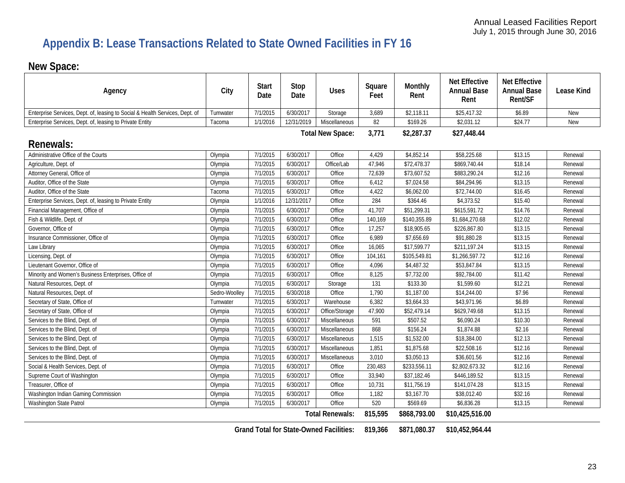# **Appendix B: Lease Transactions Related to State Owned Facilities in FY 16**

# **New Space:**

| Agency                                                                       | City          | <b>Start</b><br>Date | Stop<br>Date | <b>Uses</b>             | Square<br>Feet | Monthly<br>Rent | <b>Net Effective</b><br><b>Annual Base</b><br>Rent | <b>Net Effective</b><br><b>Annual Base</b><br>Rent/SF | <b>Lease Kind</b> |
|------------------------------------------------------------------------------|---------------|----------------------|--------------|-------------------------|----------------|-----------------|----------------------------------------------------|-------------------------------------------------------|-------------------|
| Enterprise Services, Dept. of, leasing to Social & Health Services, Dept. of | Tumwater      | 7/1/2015             | 6/30/2017    | Storage                 | 3,689          | \$2,118.11      | \$25,417.32                                        | \$6.89                                                | New               |
| Enterprise Services, Dept. of, leasing to Private Entity                     | Tacoma        | 1/1/2016             | 12/31/2019   | Miscellaneous           | 82             | \$169.26        | \$2,031.12                                         | \$24.77                                               | New               |
|                                                                              |               |                      |              | <b>Total New Space:</b> | 3,771          | \$2,287.37      | \$27,448.44                                        |                                                       |                   |
| <b>Renewals:</b>                                                             |               |                      |              |                         |                |                 |                                                    |                                                       |                   |
| Administrative Office of the Courts                                          | Olympia       | 7/1/2015             | 6/30/2017    | Office                  | 4,429          | \$4,852.14      | \$58,225.68                                        | \$13.15                                               | Renewal           |
| Agriculture, Dept. of                                                        | Olympia       | 7/1/2015             | 6/30/2017    | Office/Lab              | 47,946         | \$72,478.37     | \$869,740.44                                       | \$18.14                                               | Renewal           |
| Attorney General, Office of                                                  | Olympia       | 7/1/2015             | 6/30/2017    | Office                  | 72,639         | \$73,607.52     | \$883,290.24                                       | \$12.16                                               | Renewal           |
| Auditor, Office of the State                                                 | Olympia       | 7/1/2015             | 6/30/2017    | Office                  | 6,412          | \$7,024.58      | \$84,294.96                                        | \$13.15                                               | Renewal           |
| Auditor, Office of the State                                                 | Tacoma        | 7/1/2015             | 6/30/2017    | Office                  | 4,422          | \$6,062.00      | \$72,744.00                                        | \$16.45                                               | Renewal           |
| Enterprise Services, Dept. of, leasing to Private Entity                     | Olympia       | 1/1/2016             | 12/31/2017   | Office                  | 284            | \$364.46        | \$4,373.52                                         | \$15.40                                               | Renewal           |
| Financial Management, Office of                                              | Olympia       | 7/1/2015             | 6/30/2017    | Office                  | 41,707         | \$51,299.31     | \$615,591.72                                       | \$14.76                                               | Renewal           |
| Fish & Wildlife, Dept. of                                                    | Olympia       | 7/1/2015             | 6/30/2017    | Office                  | 140,169        | \$140,355.89    | \$1,684,270.68                                     | \$12.02                                               | Renewal           |
| Governor, Office of                                                          | Olympia       | 7/1/2015             | 6/30/2017    | Office                  | 17,257         | \$18,905.65     | \$226,867.80                                       | \$13.15                                               | Renewal           |
| Insurance Commissioner, Office of                                            | Olympia       | 7/1/2015             | 6/30/2017    | Office                  | 6,989          | \$7,656.69      | \$91,880.28                                        | \$13.15                                               | Renewal           |
| Law Library                                                                  | Olympia       | 7/1/2015             | 6/30/2017    | Office                  | 16,065         | \$17,599.77     | \$211,197.24                                       | \$13.15                                               | Renewal           |
| Licensing, Dept. of                                                          | Olympia       | 7/1/2015             | 6/30/2017    | Office                  | 104,161        | \$105,549.81    | \$1,266,597.72                                     | \$12.16                                               | Renewal           |
| Lieutenant Governor, Office of                                               | Olympia       | 7/1/2015             | 6/30/2017    | Office                  | 4,096          | \$4,487.32      | \$53,847.84                                        | \$13.15                                               | Renewal           |
| Minority and Women's Business Enterprises, Office of                         | Olympia       | 7/1/2015             | 6/30/2017    | Office                  | 8,125          | \$7,732.00      | \$92,784.00                                        | \$11.42                                               | Renewal           |
| Natural Resources, Dept. of                                                  | Olympia       | 7/1/2015             | 6/30/2017    | Storage                 | 131            | \$133.30        | \$1,599.60                                         | \$12.21                                               | Renewal           |
| Natural Resources, Dept. of                                                  | Sedro-Woolley | 7/1/2015             | 6/30/2018    | Office                  | 1,790          | \$1,187.00      | \$14,244.00                                        | \$7.96                                                | Renewal           |
| Secretary of State, Office of                                                | Tumwater      | 7/1/2015             | 6/30/2017    | Warehouse               | 6,382          | \$3,664.33      | \$43,971.96                                        | \$6.89                                                | Renewal           |
| Secretary of State, Office of                                                | Olympia       | 7/1/2015             | 6/30/2017    | Office/Storage          | 47,900         | \$52,479.14     | \$629,749.68                                       | \$13.15                                               | Renewal           |
| Services to the Blind, Dept. of                                              | Olympia       | 7/1/2015             | 6/30/2017    | Miscellaneous           | 591            | \$507.52        | \$6,090.24                                         | \$10.30                                               | Renewal           |
| Services to the Blind, Dept. of                                              | Olympia       | 7/1/2015             | 6/30/2017    | Miscellaneous           | 868            | \$156.24        | \$1,874.88                                         | \$2.16                                                | Renewal           |
| Services to the Blind, Dept. of                                              | Olympia       | 7/1/2015             | 6/30/2017    | Miscellaneous           | 1,515          | \$1,532.00      | \$18,384.00                                        | \$12.13                                               | Renewal           |
| Services to the Blind, Dept. of                                              | Olympia       | 7/1/2015             | 6/30/2017    | Miscellaneous           | 1,851          | \$1,875.68      | \$22,508.16                                        | \$12.16                                               | Renewal           |
| Services to the Blind, Dept. of                                              | Olympia       | 7/1/2015             | 6/30/2017    | Miscellaneous           | 3,010          | \$3,050.13      | \$36,601.56                                        | \$12.16                                               | Renewal           |
| Social & Health Services, Dept. of                                           | Olympia       | 7/1/2015             | 6/30/2017    | Office                  | 230,483        | \$233,556.11    | \$2,802,673.32                                     | \$12.16                                               | Renewal           |
| Supreme Court of Washington                                                  | Olympia       | 7/1/2015             | 6/30/2017    | Office                  | 33,940         | \$37,182.46     | \$446,189.52                                       | \$13.15                                               | Renewal           |
| Treasurer, Office of                                                         | Olympia       | 7/1/2015             | 6/30/2017    | Office                  | 10,731         | \$11,756.19     | \$141,074.28                                       | \$13.15                                               | Renewal           |
| Washington Indian Gaming Commission                                          | Olympia       | 7/1/2015             | 6/30/2017    | Office                  | 1,182          | \$3,167.70      | \$38,012.40                                        | \$32.16                                               | Renewal           |
| Washington State Patrol                                                      | Olympia       | 7/1/2015             | 6/30/2017    | Office                  | 520            | \$569.69        | \$6,836.28                                         | \$13.15                                               | Renewal           |
|                                                                              |               |                      |              | <b>Total Renewals:</b>  | 815,595        | \$868,793.00    | \$10,425,516.00                                    |                                                       |                   |

**Grand Total for State-Owned Facilities: 819,366 \$871,080.37 \$10,452,964.44**